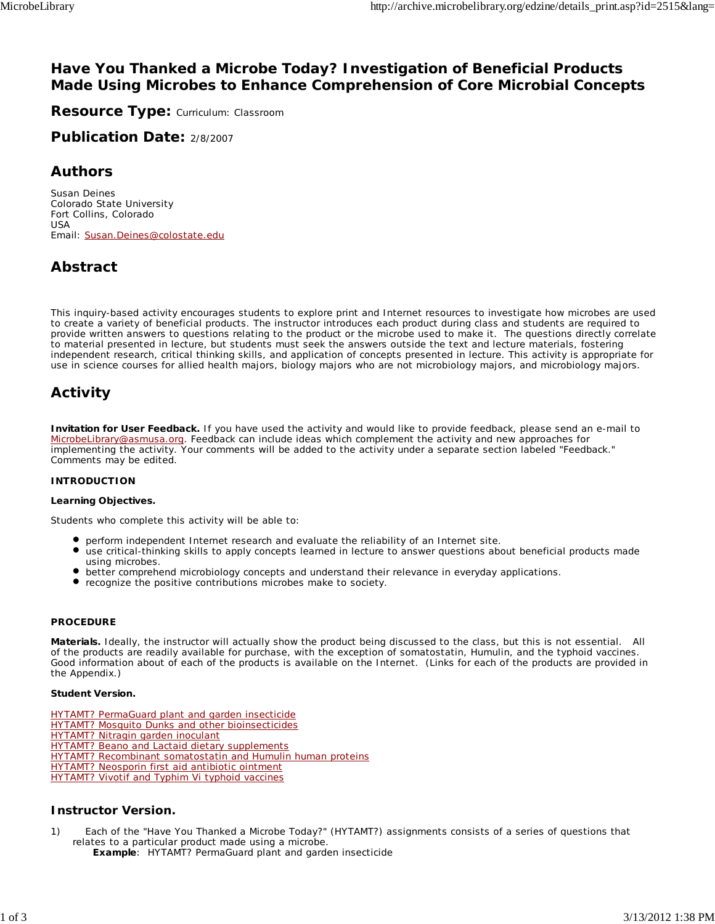# **Have You Thanked a Microbe Today? Investigation of Beneficial Products Made Using Microbes to Enhance Comprehension of Core Microbial Concepts**

**Resource Type:** Curriculum: Classroom

**Publication Date:** 2/8/2007

# **Authors**

*Susan Deines* Colorado State University Fort Collins, Colorado USA Email: Susan.Deines@colostate.edu

# **Abstract**

This inquiry-based activity encourages students to explore print and Internet resources to investigate how microbes are used to create a variety of beneficial products. The instructor introduces each product during class and students are required to provide written answers to questions relating to the product or the microbe used to make it. The questions directly correlate to material presented in lecture, but students must seek the answers outside the text and lecture materials, fostering independent research, critical thinking skills, and application of concepts presented in lecture. This activity is appropriate for use in science courses for allied health majors, biology majors who are not microbiology majors, and microbiology majors.

# **Activity**

**Invitation for User Feedback.** If you have used the activity and would like to provide feedback, please send an e-mail to MicrobeLibrary@asmusa.org. Feedback can include ideas which complement the activity and new approaches for implementing the activity. Your comments will be added to the activity under a separate section labeled "Feedback." Comments may be edited.

# **INTRODUCTION**

#### **Learning Objectives.**

Students who complete this activity will be able to:

- perform independent Internet research and evaluate the reliability of an Internet site.
- use critical-thinking skills to apply concepts learned in lecture to answer questions about beneficial products made using microbes.
- better comprehend microbiology concepts and understand their relevance in everyday applications.
- recognize the positive contributions microbes make to society.

#### **PROCEDURE**

**Materials.** Ideally, the instructor will actually show the product being discussed to the class, but this is not essential. All of the products are readily available for purchase, with the exception of somatostatin, Humulin, and the typhoid vaccines. Good information about of each of the products is available on the Internet. (Links for each of the products are provided in the Appendix.)

#### **Student Version.**

- HYTAMT? PermaGuard plant and garden insecticide
- HYTAMT? Mosquito Dunks and other bioinsecticides
- HYTAMT? Nitragin garden inoculant
- **HYTAMT? Beano and Lactaid dietary supplements**
- HYTAMT? Recombinant somatostatin and Humulin human proteins
- HYTAMT? Neosporin first aid antibiotic ointment
- HYTAMT? Vivotif and Typhim Vi typhoid vaccines

## **Instructor Version.**

1) Each of the "Have You Thanked a Microbe Today?" (HYTAMT?) assignments consists of a series of questions that relates to a particular product made using a microbe.

**Example**: HYTAMT? PermaGuard plant and garden insecticide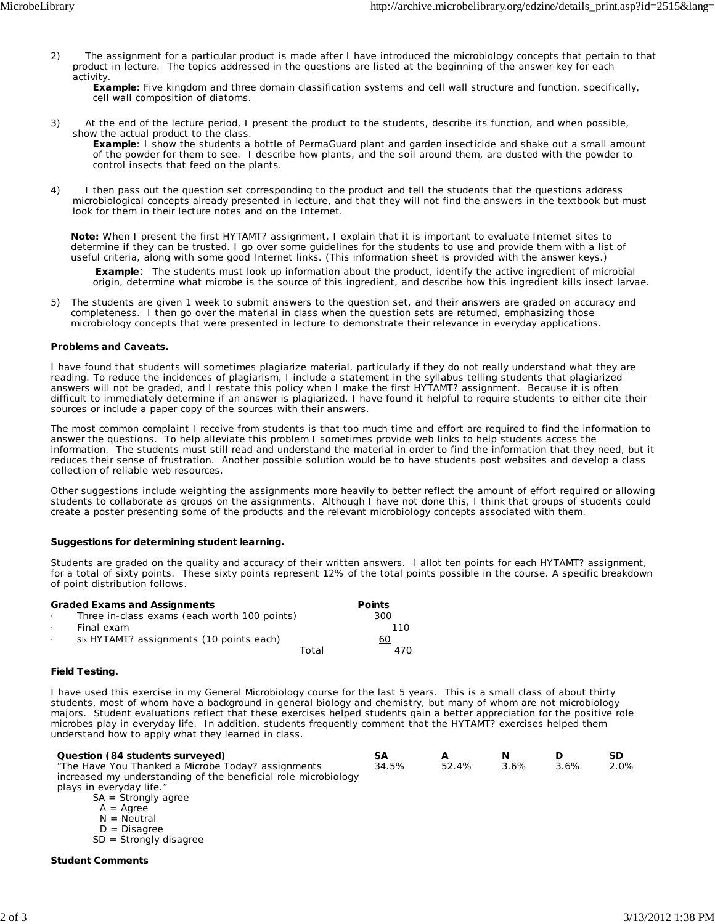2) The assignment for a particular product is made after I have introduced the microbiology concepts that pertain to that product in lecture. The topics addressed in the questions are listed at the beginning of the answer key for each activity.

**Example:** Five kingdom and three domain classification systems and cell wall structure and function, specifically, cell wall composition of diatoms.

3) At the end of the lecture period, I present the product to the students, describe its function, and when possible, show the actual product to the class.

**Example**: I show the students a bottle of PermaGuard plant and garden insecticide and shake out a small amount of the powder for them to see. I describe how plants, and the soil around them, are dusted with the powder to control insects that feed on the plants.

4) I then pass out the question set corresponding to the product and tell the students that the questions address microbiological concepts already presented in lecture, and that they will not find the answers in the textbook but must look for them in their lecture notes and on the Internet.

**Note:** When I present the first HYTAMT? assignment, I explain that it is important to evaluate Internet sites to determine if they can be trusted. I go over some guidelines for the students to use and provide them with a list of useful criteria, along with some good Internet links. (This information sheet is provided with the answer keys.)

 **Example**: The students must look up information about the product, identify the active ingredient of microbial origin, determine what microbe is the source of this ingredient, and describe how this ingredient kills insect larvae.

5) The students are given 1 week to submit answers to the question set, and their answers are graded on accuracy and completeness. I then go over the material in class when the question sets are returned, emphasizing those microbiology concepts that were presented in lecture to demonstrate their relevance in everyday applications.

#### **Problems and Caveats.**

I have found that students will sometimes plagiarize material, particularly if they do not really understand what they are reading. To reduce the incidences of plagiarism, I include a statement in the syllabus telling students that plagiarized answers will not be graded, and I restate this policy when I make the first HYTAMT? assignment. Because it is often difficult to immediately determine if an answer is plagiarized, I have found it helpful to require students to either cite their sources or include a paper copy of the sources with their answers.

The most common complaint I receive from students is that too much time and effort are required to find the information to answer the questions. To help alleviate this problem I sometimes provide web links to help students access the information. The students must still read and understand the material in order to find the information that they need, but it reduces their sense of frustration. Another possible solution would be to have students post websites and develop a class collection of reliable web resources.

Other suggestions include weighting the assignments more heavily to better reflect the amount of effort required or allowing students to collaborate as groups on the assignments. Although I have not done this, I think that groups of students could create a poster presenting some of the products and the relevant microbiology concepts associated with them.

#### **Suggestions for determining student learning.**

Students are graded on the quality and accuracy of their written answers. I allot ten points for each HYTAMT? assignment, for a total of sixty points. These sixty points represent 12% of the total points possible in the course. A specific breakdown of point distribution follows.

|                       | <b>Graded Exams and Assignments</b>          | <b>Points</b> |
|-----------------------|----------------------------------------------|---------------|
| $\cdot$               | Three in-class exams (each worth 100 points) | 300           |
| Final exam<br>$\cdot$ |                                              | 110           |
|                       | Six HYTAMT? assignments (10 points each)     | 60            |
|                       |                                              | Total<br>470. |

#### **Field Testing.**

I have used this exercise in my General Microbiology course for the last 5 years. This is a small class of about thirty students, most of whom have a background in general biology and chemistry, but many of whom are not microbiology majors. Student evaluations reflect that these exercises helped students gain a better appreciation for the positive role microbes play in everyday life. In addition, students frequently comment that the HYTAMT? exercises helped them understand how to apply what they learned in class.

| Question (84 students surveyed)                                | SΑ    |       |      |      | SD   |
|----------------------------------------------------------------|-------|-------|------|------|------|
| "The Have You Thanked a Microbe Today? assignments             | 34.5% | 52.4% | 3.6% | 3.6% | 2.0% |
| increased my understanding of the beneficial role microbiology |       |       |      |      |      |
| plays in everyday life."                                       |       |       |      |      |      |
| Ctronally opens<br>CA                                          |       |       |      |      |      |

SA = Strongly agree

- $A = \text{Agree}$
- $N =$  Neutral
- $D = Disagree$

SD = Strongly disagree

#### **Student Comments**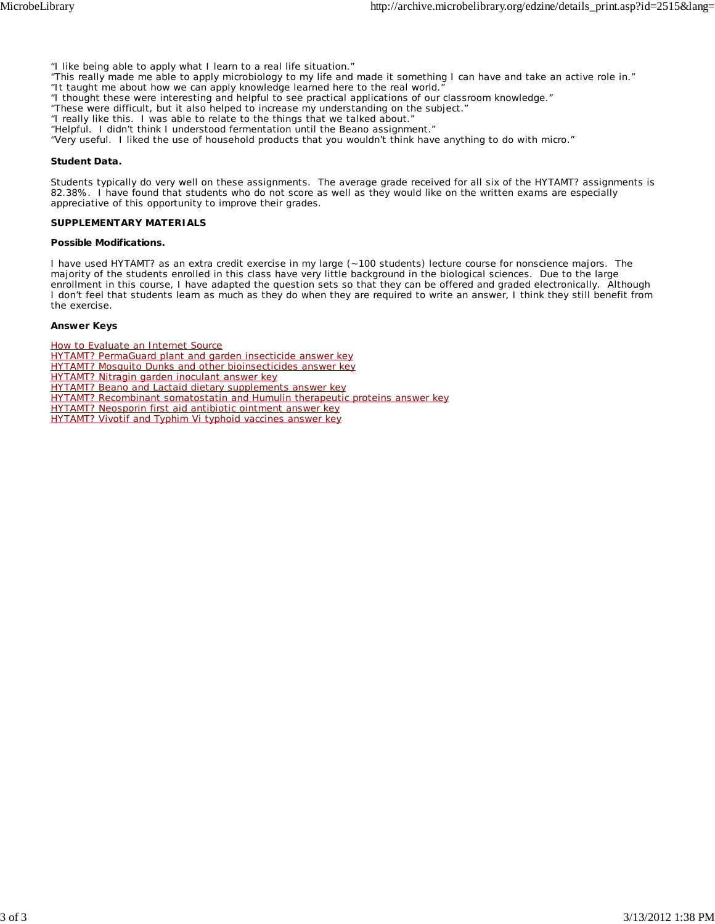- "I like being able to apply what I learn to a real life situation."
- "This really made me able to apply microbiology to my life and made it something I can have and take an active role in."
- "It taught me about how we can apply knowledge learned here to the real world."
- "I thought these were interesting and helpful to see practical applications of our classroom knowledge."
- "These were difficult, but it also helped to increase my understanding on the subject."
- "I really like this. I was able to relate to the things that we talked about."
- "Helpful. I didn't think I understood fermentation until the Beano assignment."

"Very useful. I liked the use of household products that you wouldn't think have anything to do with micro."

#### **Student Data.**

Students typically do very well on these assignments. The average grade received for all six of the HYTAMT? assignments is 82.38%. I have found that students who do not score as well as they would like on the written exams are especially appreciative of this opportunity to improve their grades.

#### **SUPPLEMENTARY MATERIALS**

#### **Possible Modifications.**

I have used HYTAMT? as an extra credit exercise in my large (~100 students) lecture course for nonscience majors. The majority of the students enrolled in this class have very little background in the biological sciences. Due to the large enrollment in this course, I have adapted the question sets so that they can be offered and graded electronically. Although I don't feel that students learn as much as they do when they are required to write an answer, I think they still benefit from the exercise.

#### **Answer Keys**

How to Evaluate an Internet Source

- HYTAMT? PermaGuard plant and garden insecticide answer key
- HYTAMT? Mosquito Dunks and other bioinsecticides answer key
- HYTAMT? Nitragin garden inoculant answer key
- HYTAMT? Beano and Lactaid dietary supplements answer key
- HYTAMT? Recombinant somatostatin and Humulin therapeutic proteins answer key
- HYTAMT? Neosporin first aid antibiotic ointment answer key
- HYTAMT? Vivotif and Typhim Vi typhoid vaccines answer key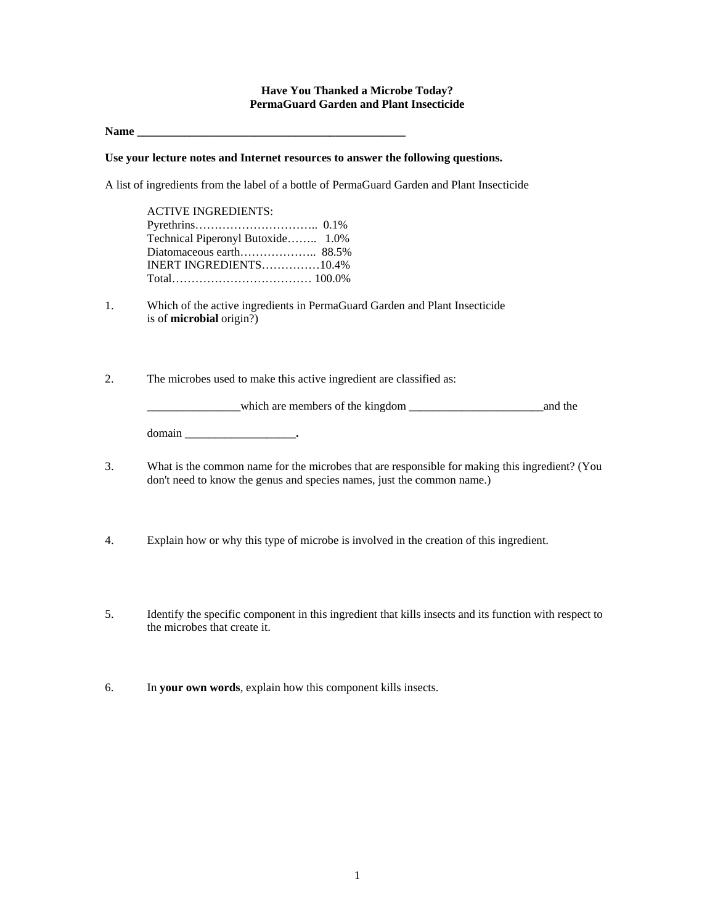#### **Have You Thanked a Microbe Today? PermaGuard Garden and Plant Insecticide**

Name **Name** 

#### **Use your lecture notes and Internet resources to answer the following questions.**

A list of ingredients from the label of a bottle of PermaGuard Garden and Plant Insecticide

| <b>ACTIVE INGREDIENTS:</b>        |  |
|-----------------------------------|--|
|                                   |  |
| Technical Piperonyl Butoxide 1.0% |  |
|                                   |  |
| INERT INGREDIENTS10.4%            |  |
|                                   |  |

1. Which of the active ingredients in PermaGuard Garden and Plant Insecticide is of **microbial** origin?)

2. The microbes used to make this active ingredient are classified as:

\_\_\_\_\_\_\_\_\_\_\_\_\_\_\_\_which are members of the kingdom \_\_\_\_\_\_\_\_\_\_\_\_\_\_\_\_\_\_\_\_\_\_\_and the domain \_\_\_\_\_\_\_\_\_\_\_\_\_\_\_\_\_\_\_**.**

- 3. What is the common name for the microbes that are responsible for making this ingredient? (You don't need to know the genus and species names, just the common name.)
- 4. Explain how or why this type of microbe is involved in the creation of this ingredient.
- 5. Identify the specific component in this ingredient that kills insects and its function with respect to the microbes that create it.
- 6. In **your own words**, explain how this component kills insects.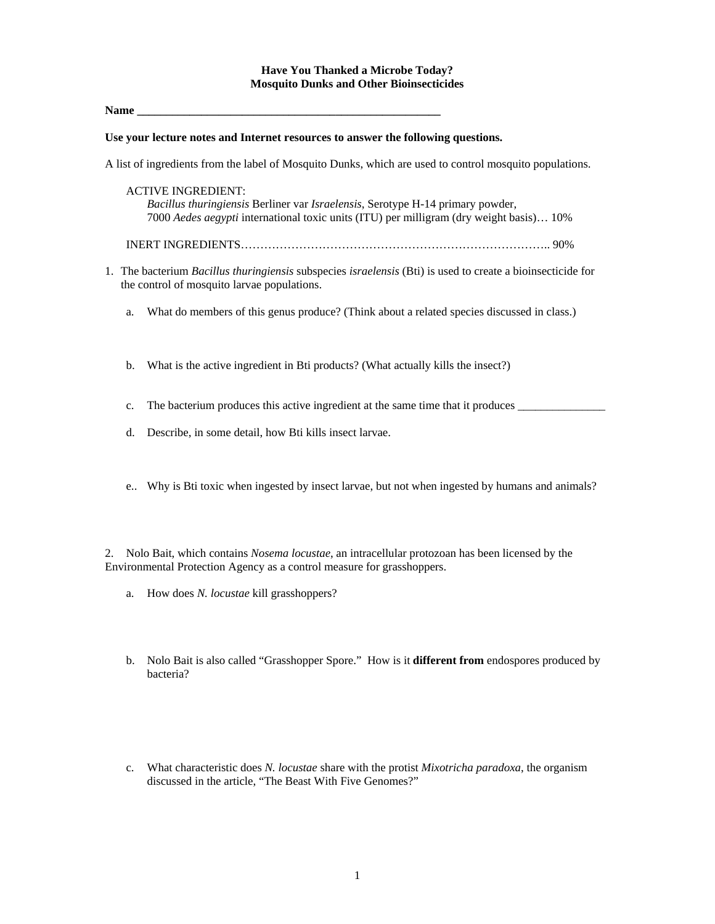#### **Have You Thanked a Microbe Today? Mosquito Dunks and Other Bioinsecticides**

Name

#### **Use your lecture notes and Internet resources to answer the following questions.**

A list of ingredients from the label of Mosquito Dunks, which are used to control mosquito populations.

- ACTIVE INGREDIENT: *Bacillus thuringiensis* Berliner var *Israelensis*, Serotype H-14 primary powder, 7000 *Aedes aegypti* international toxic units (ITU) per milligram (dry weight basis)… 10%
- INERT INGREDIENTS…………………………………………………………………….. 90%
- 1. The bacterium *Bacillus thuringiensis* subspecies *israelensis* (Bti) is used to create a bioinsecticide for the control of mosquito larvae populations.
	- a. What do members of this genus produce? (Think about a related species discussed in class.)
	- b. What is the active ingredient in Bti products? (What actually kills the insect?)
	- c. The bacterium produces this active ingredient at the same time that it produces
	- d. Describe, in some detail, how Bti kills insect larvae.
	- e.. Why is Bti toxic when ingested by insect larvae, but not when ingested by humans and animals?

2. Nolo Bait, which contains *Nosema locustae*, an intracellular protozoan has been licensed by the Environmental Protection Agency as a control measure for grasshoppers.

- a. How does *N. locustae* kill grasshoppers?
- b. Nolo Bait is also called "Grasshopper Spore." How is it **different from** endospores produced by bacteria?
- c. What characteristic does *N. locustae* share with the protist *Mixotricha paradoxa*, the organism discussed in the article, "The Beast With Five Genomes?"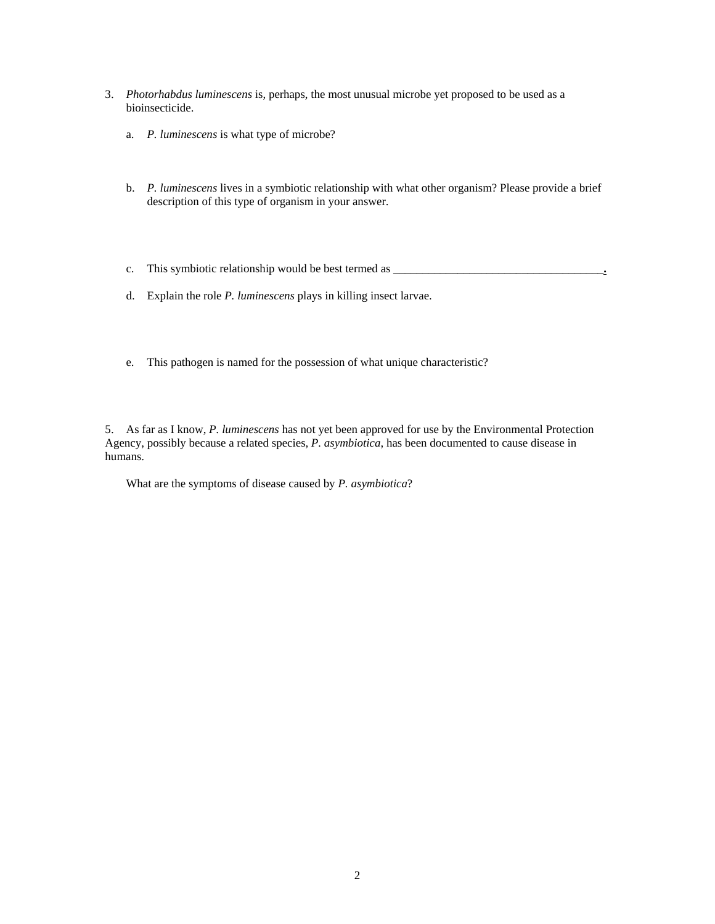- 3. *Photorhabdus luminescens* is, perhaps, the most unusual microbe yet proposed to be used as a bioinsecticide.
	- a. *P. luminescens* is what type of microbe?
	- b. *P. luminescens* lives in a symbiotic relationship with what other organism? Please provide a brief description of this type of organism in your answer.
	- c. This symbiotic relationship would be best termed as \_\_\_\_\_\_\_\_\_\_\_\_\_\_\_\_\_\_\_\_\_\_\_\_\_\_\_\_\_\_\_\_\_\_\_\_**.**
	- d. Explain the role *P. luminescens* plays in killing insect larvae.
	- e. This pathogen is named for the possession of what unique characteristic?

5. As far as I know, *P. luminescens* has not yet been approved for use by the Environmental Protection Agency, possibly because a related species, *P. asymbiotica*, has been documented to cause disease in humans.

What are the symptoms of disease caused by *P. asymbiotica*?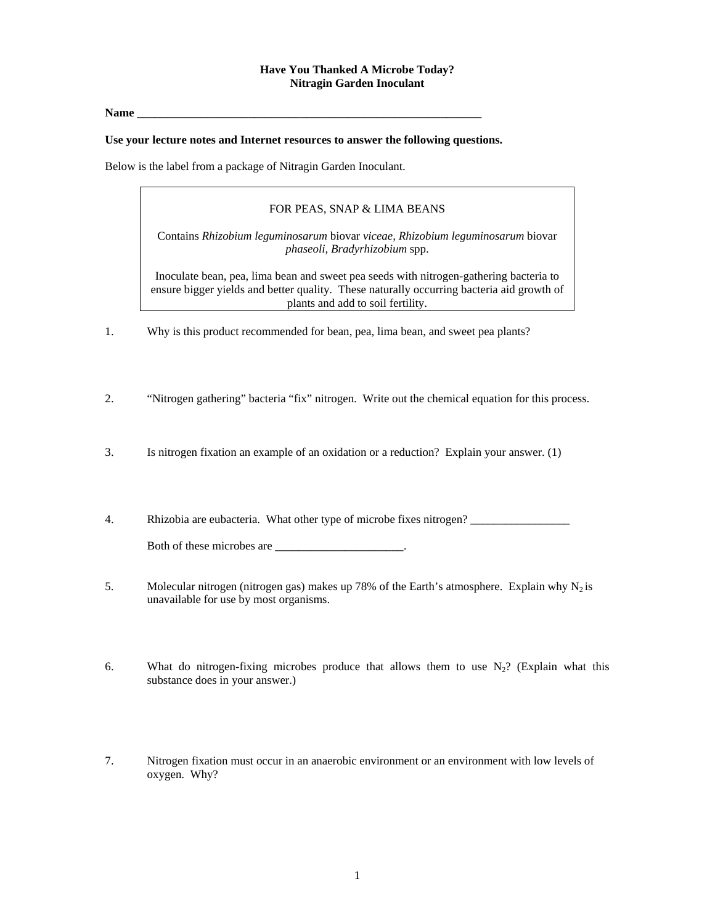# **Have You Thanked A Microbe Today? Nitragin Garden Inoculant**

Name

#### **Use your lecture notes and Internet resources to answer the following questions.**

Below is the label from a package of Nitragin Garden Inoculant.

#### FOR PEAS, SNAP & LIMA BEANS

Contains *Rhizobium leguminosarum* biovar *viceae, Rhizobium leguminosarum* biovar *phaseoli, Bradyrhizobium* spp.

Inoculate bean, pea, lima bean and sweet pea seeds with nitrogen-gathering bacteria to ensure bigger yields and better quality. These naturally occurring bacteria aid growth of plants and add to soil fertility.

- 1. Why is this product recommended for bean, pea, lima bean, and sweet pea plants?
- 2. "Nitrogen gathering" bacteria "fix" nitrogen. Write out the chemical equation for this process.
- 3. Is nitrogen fixation an example of an oxidation or a reduction? Explain your answer. (1)
- 4. Rhizobia are eubacteria. What other type of microbe fixes nitrogen?

Both of these microbes are **with all the set of these microbes** are **with all the set of the set of the set of the set of the set of the set of the set of the set of the set of the set of the set of the set of the set of t** 

- 5. Molecular nitrogen (nitrogen gas) makes up 78% of the Earth's atmosphere. Explain why  $N_2$  is unavailable for use by most organisms.
- 6. What do nitrogen-fixing microbes produce that allows them to use  $N_2$ ? (Explain what this substance does in your answer.)
- 7. Nitrogen fixation must occur in an anaerobic environment or an environment with low levels of oxygen. Why?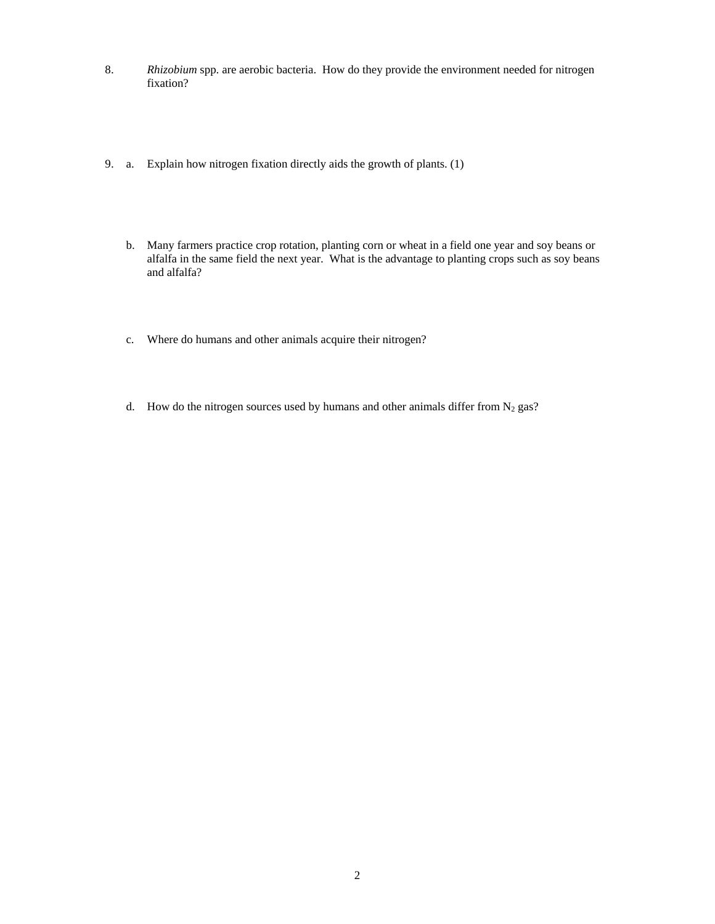- 8. *Rhizobium* spp. are aerobic bacteria. How do they provide the environment needed for nitrogen fixation?
- 9. a. Explain how nitrogen fixation directly aids the growth of plants. (1)
	- b. Many farmers practice crop rotation, planting corn or wheat in a field one year and soy beans or alfalfa in the same field the next year. What is the advantage to planting crops such as soy beans and alfalfa?
	- c. Where do humans and other animals acquire their nitrogen?
	- d. How do the nitrogen sources used by humans and other animals differ from  $N_2$  gas?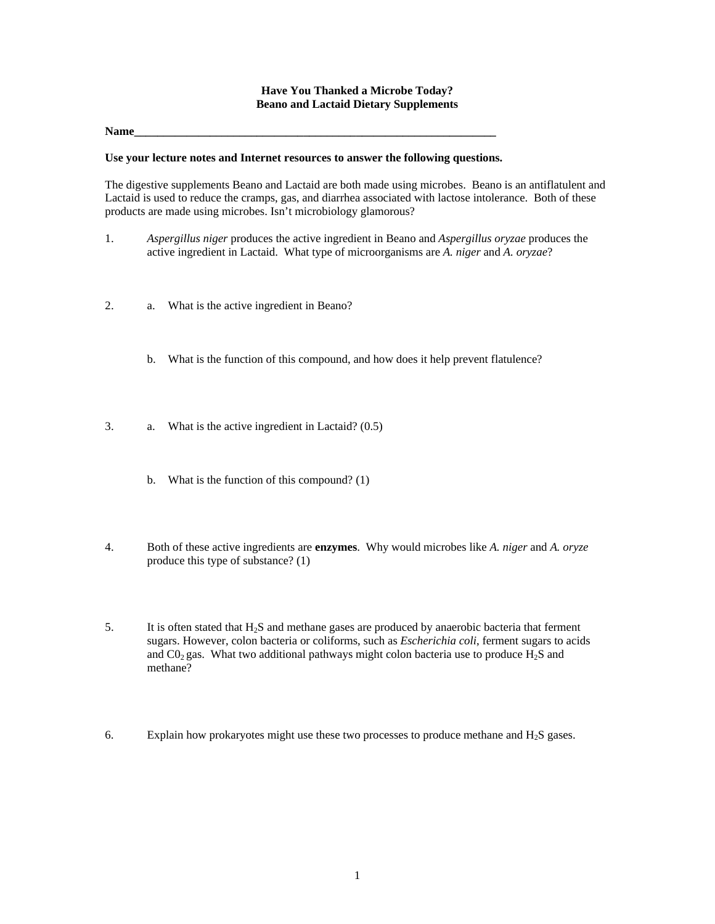## **Have You Thanked a Microbe Today? Beano and Lactaid Dietary Supplements**

#### **Name\_\_\_\_\_\_\_\_\_\_\_\_\_\_\_\_\_\_\_\_\_\_\_\_\_\_\_\_\_\_\_\_\_\_\_\_\_\_\_\_\_\_\_\_\_\_\_\_\_\_\_\_\_\_\_\_\_\_\_\_\_\_**

#### **Use your lecture notes and Internet resources to answer the following questions.**

The digestive supplements Beano and Lactaid are both made using microbes. Beano is an antiflatulent and Lactaid is used to reduce the cramps, gas, and diarrhea associated with lactose intolerance. Both of these products are made using microbes. Isn't microbiology glamorous?

- 1. *Aspergillus niger* produces the active ingredient in Beano and *Aspergillus oryzae* produces the active ingredient in Lactaid. What type of microorganisms are *A. niger* and *A. oryzae*?
- 2. a. What is the active ingredient in Beano?
	- b. What is the function of this compound, and how does it help prevent flatulence?
- 3. a. What is the active ingredient in Lactaid? (0.5)
	- b. What is the function of this compound? (1)
- 4. Both of these active ingredients are **enzymes**. Why would microbes like *A. niger* and *A. oryze* produce this type of substance? (1)

5. It is often stated that  $H_2S$  and methane gases are produced by anaerobic bacteria that ferment sugars. However, colon bacteria or coliforms, such as *Escherichia coli*, ferment sugars to acids and  $CO<sub>2</sub>$  gas. What two additional pathways might colon bacteria use to produce  $H<sub>2</sub>S$  and methane?

6. Explain how prokaryotes might use these two processes to produce methane and  $H_2S$  gases.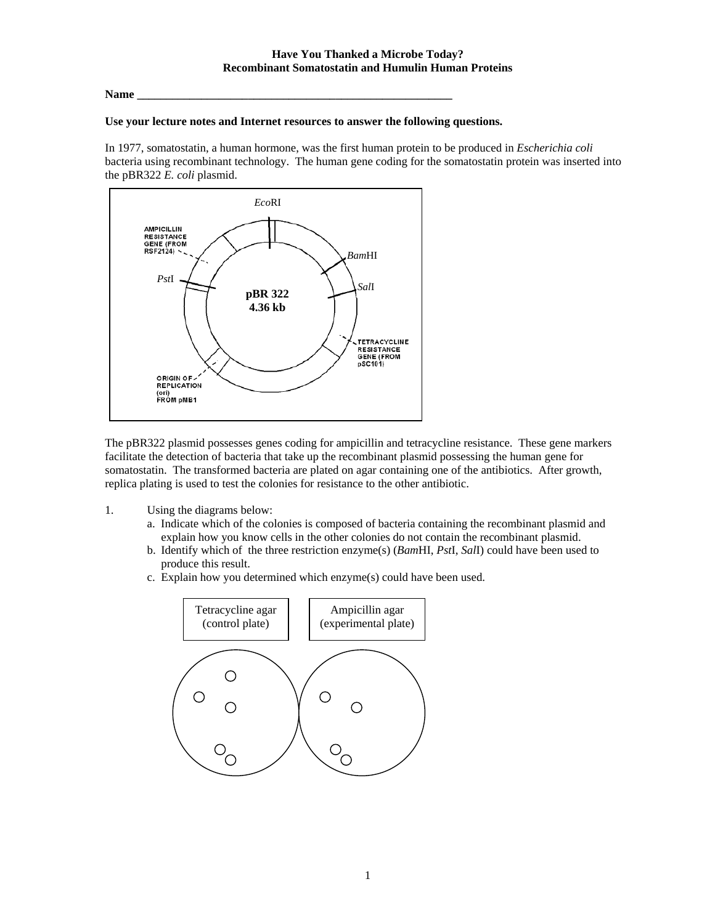## **Name \_\_\_\_\_\_\_\_\_\_\_\_\_\_\_\_\_\_\_\_\_\_\_\_\_\_\_\_\_\_\_\_\_\_\_\_\_\_\_\_\_\_\_\_\_\_\_\_\_\_\_\_\_\_**

## **Use your lecture notes and Internet resources to answer the following questions.**

In 1977, somatostatin, a human hormone, was the first human protein to be produced in *Escherichia coli* bacteria using recombinant technology. The human gene coding for the somatostatin protein was inserted into the pBR322 *E. coli* plasmid.



The pBR322 plasmid possesses genes coding for ampicillin and tetracycline resistance. These gene markers facilitate the detection of bacteria that take up the recombinant plasmid possessing the human gene for somatostatin. The transformed bacteria are plated on agar containing one of the antibiotics. After growth, replica plating is used to test the colonies for resistance to the other antibiotic.

- 1. Using the diagrams below:
	- a. Indicate which of the colonies is composed of bacteria containing the recombinant plasmid and explain how you know cells in the other colonies do not contain the recombinant plasmid.
	- b. Identify which of the three restriction enzyme(s) (*Bam*HI, *Pst*I, *Sal*I) could have been used to produce this result.
	- c. Explain how you determined which enzyme(s) could have been used.

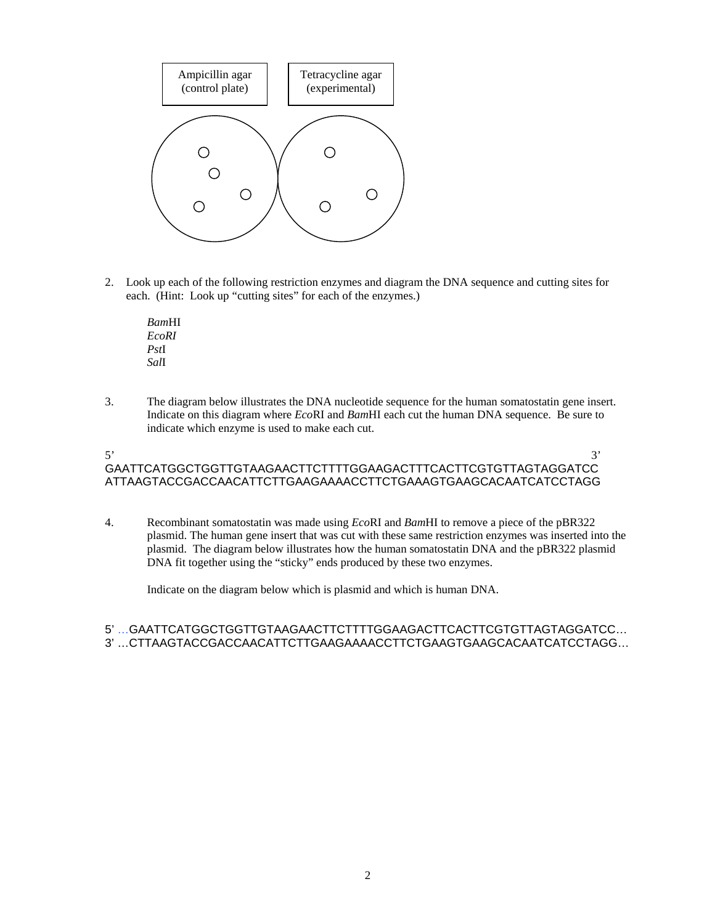

2. Look up each of the following restriction enzymes and diagram the DNA sequence and cutting sites for each. (Hint: Look up "cutting sites" for each of the enzymes.)

*Bam*HI *EcoRI Pst*I *Sal*I

3. The diagram below illustrates the DNA nucleotide sequence for the human somatostatin gene insert. Indicate on this diagram where *Eco*RI and *Bam*HI each cut the human DNA sequence. Be sure to indicate which enzyme is used to make each cut.

# $5'$  3' GAATTCATGGCTGGTTGTAAGAACTTCTTTTGGAAGACTTTCACTTCGTGTTAGTAGGATCC ATTAAGTACCGACCAACATTCTTGAAGAAAACCTTCTGAAAGTGAAGCACAATCATCCTAGG

4. Recombinant somatostatin was made using *Eco*RI and *Bam*HI to remove a piece of the pBR322 plasmid. The human gene insert that was cut with these same restriction enzymes was inserted into the plasmid. The diagram below illustrates how the human somatostatin DNA and the pBR322 plasmid DNA fit together using the "sticky" ends produced by these two enzymes.

Indicate on the diagram below which is plasmid and which is human DNA.

# 5' …GAATTCATGGCTGGTTGTAAGAACTTCTTTTGGAAGACTTCACTTCGTGTTAGTAGGATCC… 3' …CTTAAGTACCGACCAACATTCTTGAAGAAAACCTTCTGAAGTGAAGCACAATCATCCTAGG…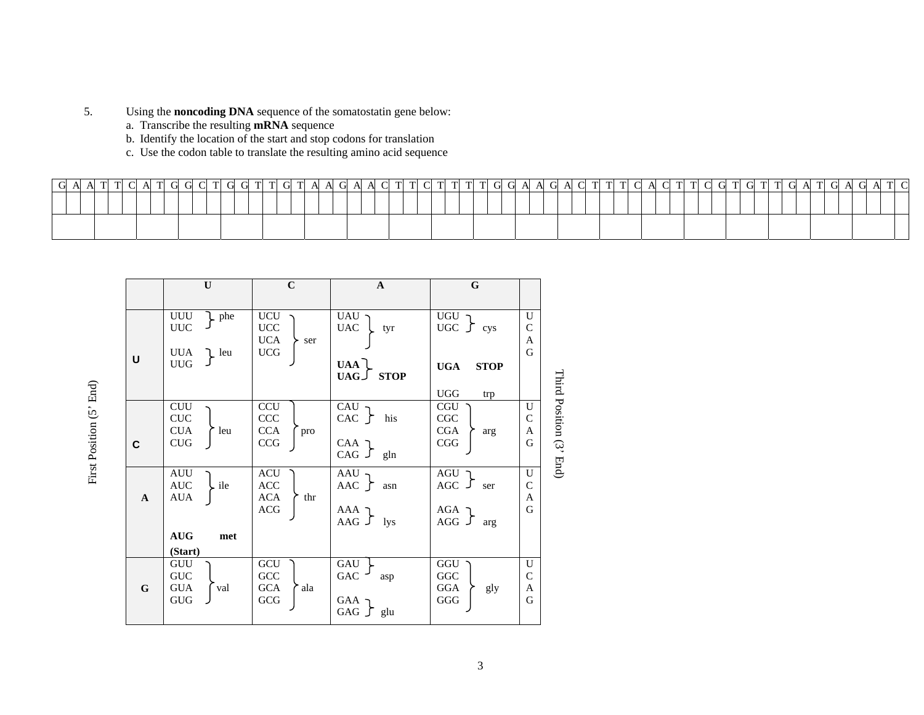- 5. Using the **noncoding DNA** sequence of the somatostatin gene below:
	- a. Transcribe the resulting **mRNA** sequence

First Position (5' End)

First Position (5' End)

- b. Identify the location of the start and stop codons for translation
- c. Use the codon table to translate the resulting amino acid sequence

|              | $\mathbf{U}$                                                    | $\mathbf C$                                            | A                                          | $\mathbf G$                                            |                              |
|--------------|-----------------------------------------------------------------|--------------------------------------------------------|--------------------------------------------|--------------------------------------------------------|------------------------------|
|              |                                                                 |                                                        |                                            |                                                        |                              |
| U            | UUU<br>L phe<br><b>UUC</b><br><b>UUA</b><br>L leu<br><b>UUG</b> | UCU<br><b>UCC</b><br><b>UCA</b><br>> ser<br><b>UCG</b> | UAU<br><b>UAC</b><br>tyr<br><b>UAA</b>     | $UGU$ .<br>UGC $\int$ cys<br><b>UGA</b><br><b>STOP</b> | U<br>$\mathcal{C}$<br>A<br>G |
|              |                                                                 |                                                        | $UAG \cup STOP$                            | <b>UGG</b><br>trp                                      |                              |
|              | <b>CUU</b><br><b>CUC</b><br><b>CUA</b><br>leu                   | <b>CCU</b><br><b>CCC</b><br><b>CCA</b><br>pro          | CAU<br>CAC<br>his                          | <b>CGU</b><br>CGC<br>CGA<br>arg                        | U<br>$\mathcal{C}$<br>A      |
| C            | <b>CUG</b>                                                      | CCG                                                    | CAA 7<br>$CAG$ $J$<br>gln                  | CGG                                                    | G                            |
| $\mathbf{A}$ | AUU<br><b>AUC</b><br>. ile<br><b>AUA</b>                        | <b>ACU</b><br><b>ACC</b><br><b>ACA</b><br>thr          | AAU<br>AAC $\Gamma$<br>asn                 | AGU<br>AGC $\sqrt{ }$<br>ser                           | U<br>$\mathcal{C}$<br>A      |
|              |                                                                 | <b>ACG</b>                                             | ר AAA<br>AAG $\int$ lys                    | AGA<br>$AGG$ $J$<br>arg                                | G                            |
|              | <b>AUG</b><br>met                                               |                                                        |                                            |                                                        |                              |
|              | (Start)                                                         |                                                        |                                            |                                                        |                              |
| G            | GUU<br><b>GUC</b><br><b>GUA</b><br>val<br><b>GUG</b>            | GCU<br>GCC<br><b>GCA</b><br>ala<br>GCG                 | GAU<br>GAC<br>asp<br>GAA<br>GAG $\int$ glu | GGU<br>GGC<br>GGA<br>gly<br>GGG                        | U<br>$\mathsf{C}$<br>A<br>G  |

Third Position (3' End) Third Position (3' End)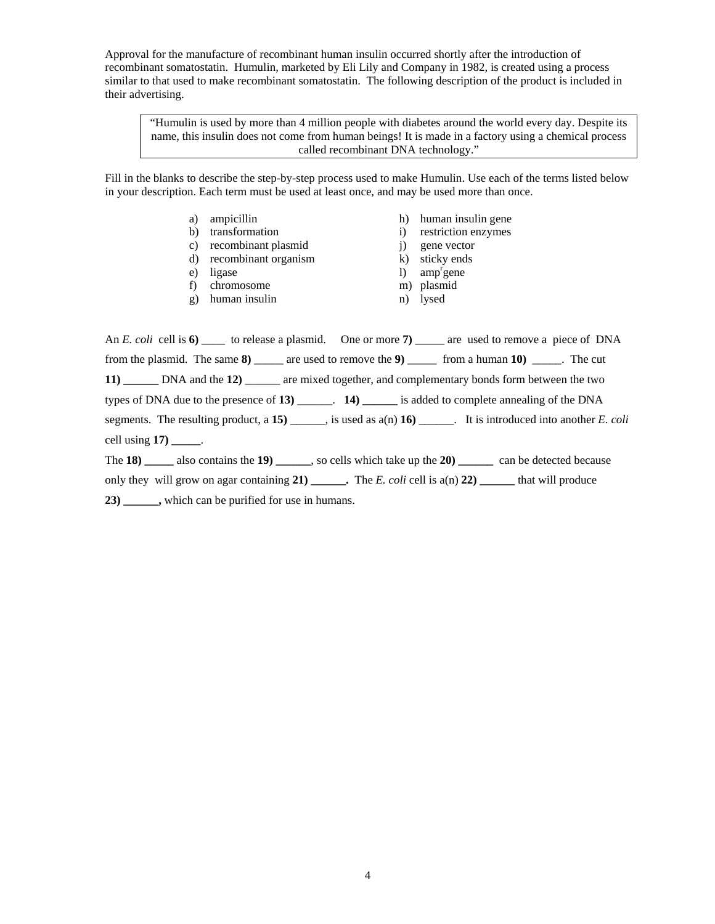Approval for the manufacture of recombinant human insulin occurred shortly after the introduction of recombinant somatostatin. Humulin, marketed by Eli Lily and Company in 1982, is created using a process similar to that used to make recombinant somatostatin. The following description of the product is included in their advertising.

"Humulin is used by more than 4 million people with diabetes around the world every day. Despite its name, this insulin does not come from human beings! It is made in a factory using a chemical process called recombinant DNA technology."

Fill in the blanks to describe the step-by-step process used to make Humulin. Use each of the terms listed below in your description. Each term must be used at least once, and may be used more than once.

> a) ampicillin h) human insulin gene b) transformation i) restriction enzymes c) recombinant plasmid i) gene vector d) recombinant organism k) sticky ends e) ligase l) amp<sup>r</sup>gene f) chromosome m) plasmid g) human insulin n) lysed

An *E. coli* cell is **6)** \_\_\_\_ to release a plasmid. One or more **7)** \_\_\_\_\_ are used to remove a piece of DNA from the plasmid. The same **8)** \_\_\_\_\_ are used to remove the **9)** \_\_\_\_\_ from a human **10)** \_\_\_\_\_. The cut **11) \_\_\_\_\_\_** DNA and the **12)** \_\_\_\_\_\_ are mixed together, and complementary bonds form between the two types of DNA due to the presence of **13)** \_\_\_\_\_\_. **14) \_\_\_\_\_\_** is added to complete annealing of the DNA segments. The resulting product, a **15)** \_\_\_\_\_\_, is used as a(n) **16)** \_\_\_\_\_\_. It is introduced into another *E. coli* cell using **17) \_\_\_\_\_**.

The **18) \_\_\_\_\_** also contains the **19) \_\_\_\_\_\_**, so cells which take up the **20) \_\_\_\_\_\_** can be detected because

only they will grow on agar containing **21) \_\_\_\_\_\_.** The *E. coli* cell is a(n) **22) \_\_\_\_\_\_** that will produce

**23) \_\_\_\_\_\_,** which can be purified for use in humans.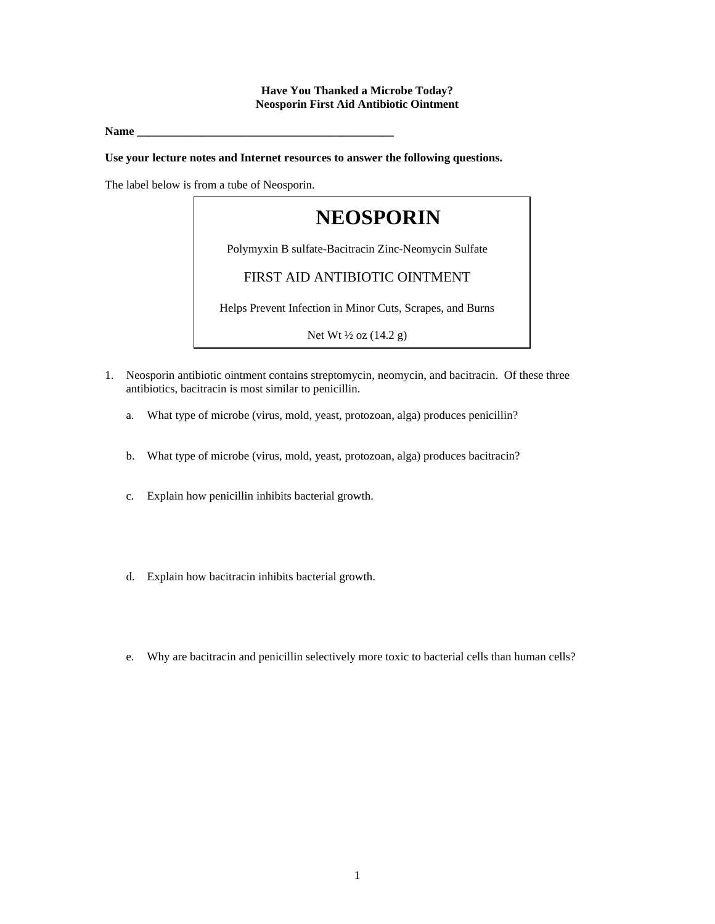## **Have You Thanked a Microbe Today? Neosporin First Aid Antibiotic Ointment**

**Name \_\_\_\_\_\_\_\_\_\_\_\_\_\_\_\_\_\_\_\_\_\_\_\_\_\_\_\_\_\_\_\_\_\_\_\_\_\_\_\_\_\_\_\_** 

**Use your lecture notes and Internet resources to answer the following questions.** 

The label below is from a tube of Neosporin.



- 1. Neosporin antibiotic ointment contains streptomycin, neomycin, and bacitracin. Of these three antibiotics, bacitracin is most similar to penicillin.
	- a. What type of microbe (virus, mold, yeast, protozoan, alga) produces penicillin?
	- b. What type of microbe (virus, mold, yeast, protozoan, alga) produces bacitracin?
	- c. Explain how penicillin inhibits bacterial growth.
	- d. Explain how bacitracin inhibits bacterial growth.
	- e. Why are bacitracin and penicillin selectively more toxic to bacterial cells than human cells?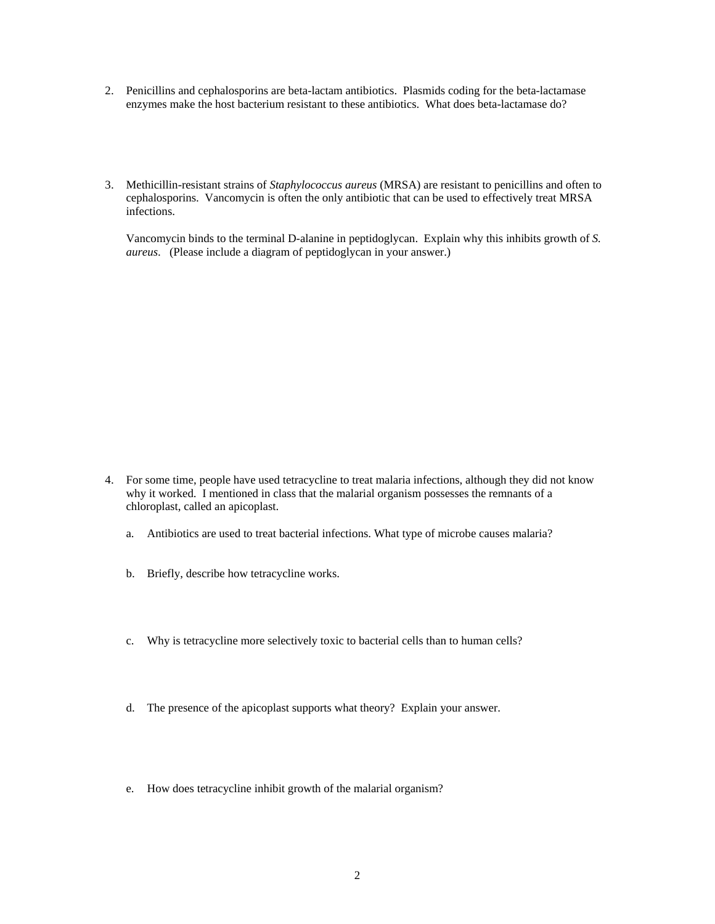- 2. Penicillins and cephalosporins are beta-lactam antibiotics. Plasmids coding for the beta-lactamase enzymes make the host bacterium resistant to these antibiotics. What does beta-lactamase do?
- 3. Methicillin-resistant strains of *Staphylococcus aureus* (MRSA) are resistant to penicillins and often to cephalosporins. Vancomycin is often the only antibiotic that can be used to effectively treat MRSA infections.

Vancomycin binds to the terminal D-alanine in peptidoglycan. Explain why this inhibits growth of *S. aureus*. (Please include a diagram of peptidoglycan in your answer.)

- 4. For some time, people have used tetracycline to treat malaria infections, although they did not know why it worked. I mentioned in class that the malarial organism possesses the remnants of a chloroplast, called an apicoplast.
	- a. Antibiotics are used to treat bacterial infections. What type of microbe causes malaria?
	- b. Briefly, describe how tetracycline works.
	- c. Why is tetracycline more selectively toxic to bacterial cells than to human cells?
	- d. The presence of the apicoplast supports what theory? Explain your answer.
	- e. How does tetracycline inhibit growth of the malarial organism?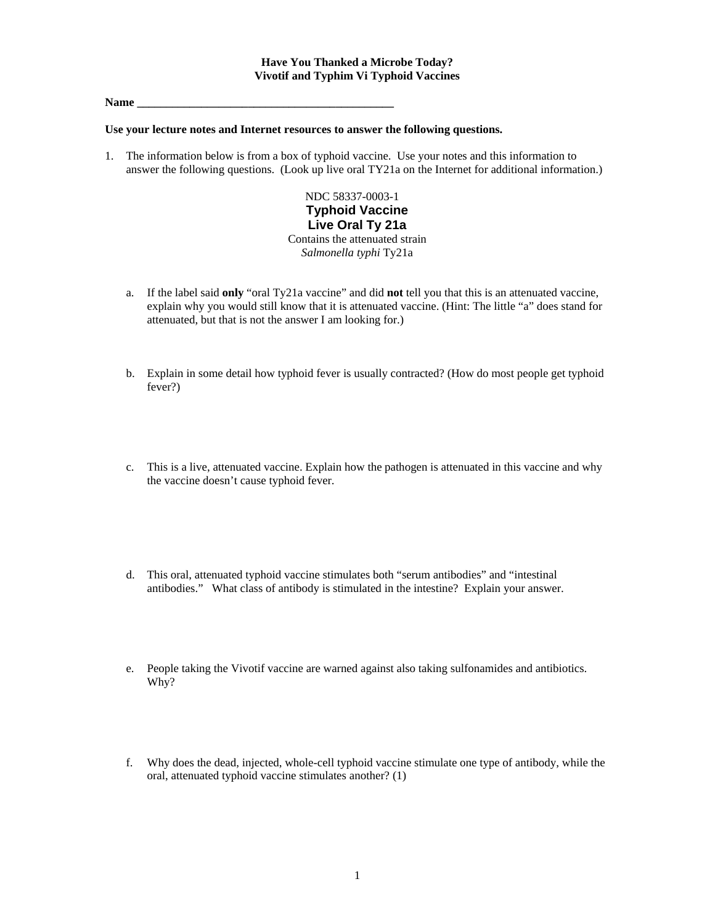#### **Name \_\_\_\_\_\_\_\_\_\_\_\_\_\_\_\_\_\_\_\_\_\_\_\_\_\_\_\_\_\_\_\_\_\_\_\_\_\_\_\_\_\_\_\_**

#### **Use your lecture notes and Internet resources to answer the following questions.**

1. The information below is from a box of typhoid vaccine. Use your notes and this information to answer the following questions. (Look up live oral TY21a on the Internet for additional information.)

> NDC 58337-0003-1 **Typhoid Vaccine Live Oral Ty 21a**  Contains the attenuated strain *Salmonella typhi* Ty21a

- a. If the label said **only** "oral Ty21a vaccine" and did **not** tell you that this is an attenuated vaccine, explain why you would still know that it is attenuated vaccine. (Hint: The little "a" does stand for attenuated, but that is not the answer I am looking for.)
- b. Explain in some detail how typhoid fever is usually contracted? (How do most people get typhoid fever?)
- c. This is a live, attenuated vaccine. Explain how the pathogen is attenuated in this vaccine and why the vaccine doesn't cause typhoid fever.
- d. This oral, attenuated typhoid vaccine stimulates both "serum antibodies" and "intestinal antibodies." What class of antibody is stimulated in the intestine? Explain your answer.
- e. People taking the Vivotif vaccine are warned against also taking sulfonamides and antibiotics. Why?
- f. Why does the dead, injected, whole-cell typhoid vaccine stimulate one type of antibody, while the oral, attenuated typhoid vaccine stimulates another? (1)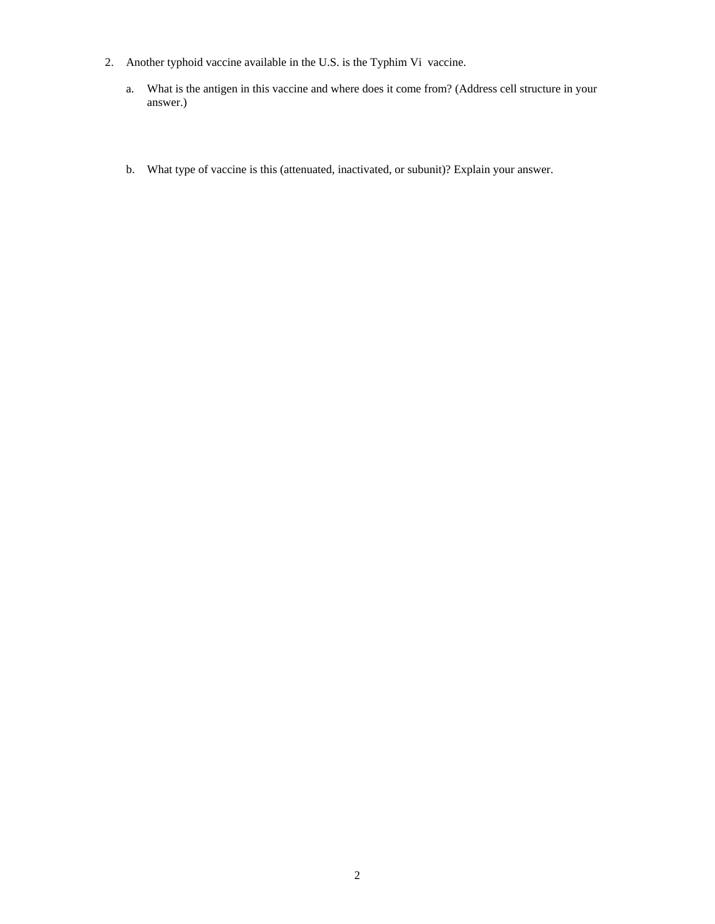- 2. Another typhoid vaccine available in the U.S. is the Typhim Vi vaccine.
	- a. What is the antigen in this vaccine and where does it come from? (Address cell structure in your answer.)
	- b. What type of vaccine is this (attenuated, inactivated, or subunit)? Explain your answer.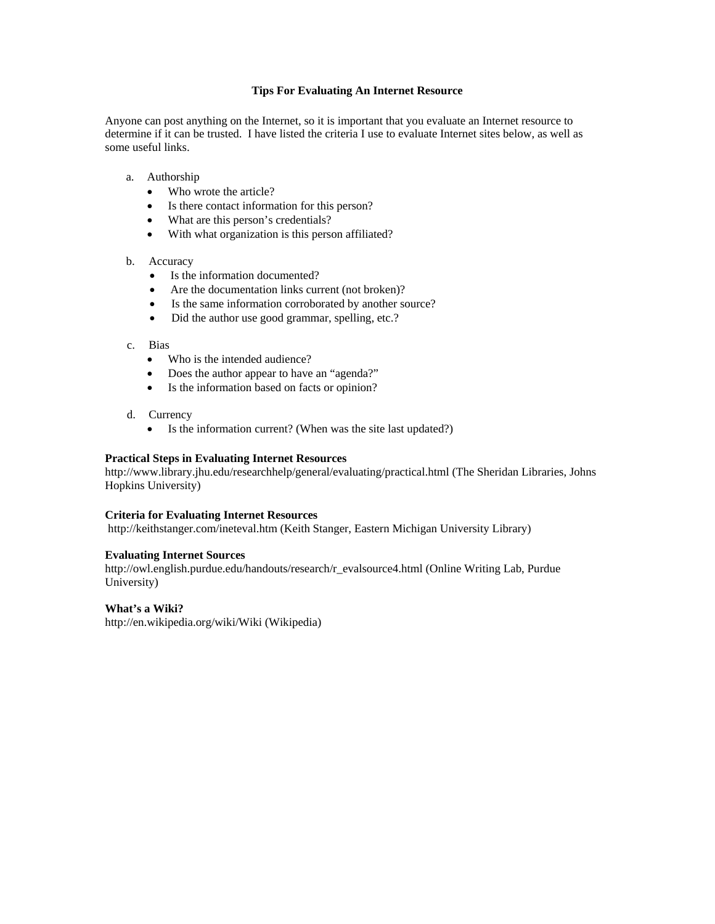#### **Tips For Evaluating An Internet Resource**

Anyone can post anything on the Internet, so it is important that you evaluate an Internet resource to determine if it can be trusted. I have listed the criteria I use to evaluate Internet sites below, as well as some useful links.

- a. Authorship
	- Who wrote the article?
	- Is there contact information for this person?
	- What are this person's credentials?
	- With what organization is this person affiliated?

#### b. Accuracy

- Is the information documented?
- Are the documentation links current (not broken)?
- Is the same information corroborated by another source?
- Did the author use good grammar, spelling, etc.?
- c. Bias
	- Who is the intended audience?
	- Does the author appear to have an "agenda?"
	- Is the information based on facts or opinion?
- d. Currency
	- Is the information current? (When was the site last updated?)

#### **Practical Steps in Evaluating Internet Resources**

http://www.library.jhu.edu/researchhelp/general/evaluating/practical.html (The Sheridan Libraries, Johns Hopkins University)

#### **Criteria for Evaluating Internet Resources**

http://keithstanger.com/ineteval.htm (Keith Stanger, Eastern Michigan University Library)

#### **Evaluating Internet Sources**

http://owl.english.purdue.edu/handouts/research/r\_evalsource4.html (Online Writing Lab, Purdue University)

#### **What's a Wiki?**

http://en.wikipedia.org/wiki/Wiki (Wikipedia)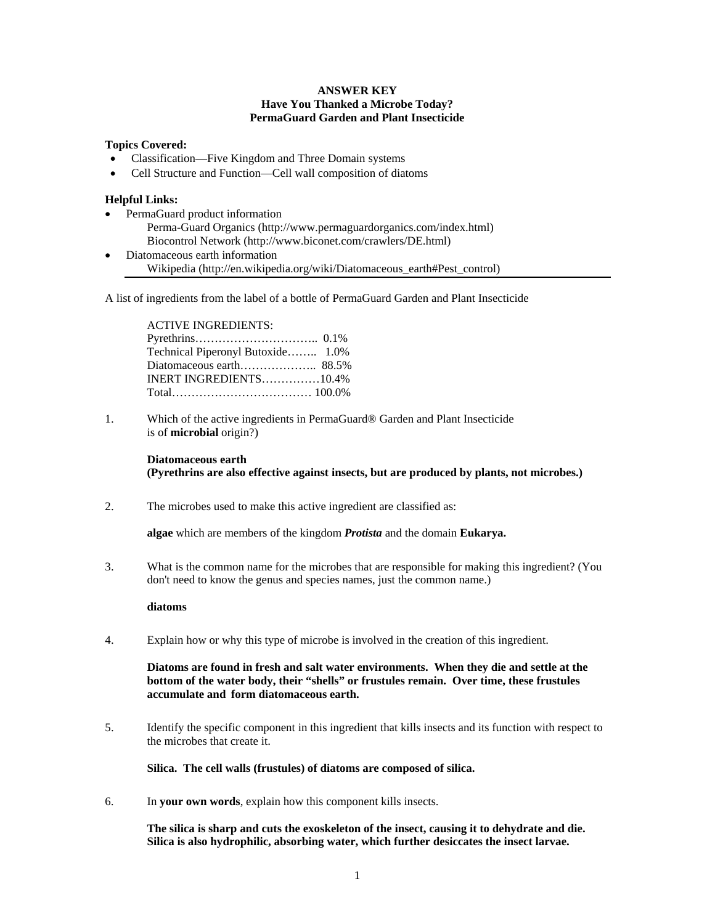#### **ANSWER KEY Have You Thanked a Microbe Today? PermaGuard Garden and Plant Insecticide**

#### **Topics Covered:**

- Classification—Five Kingdom and Three Domain systems
- Cell Structure and Function—Cell wall composition of diatoms

#### **Helpful Links:**

- PermaGuard product information Perma-Guard Organics (http://www.permaguardorganics.com/index.html) Biocontrol Network (http://www.biconet.com/crawlers/DE.html)
- Diatomaceous earth information Wikipedia (http://en.wikipedia.org/wiki/Diatomaceous\_earth#Pest\_control)

A list of ingredients from the label of a bottle of PermaGuard Garden and Plant Insecticide

ACTIVE INGREDIENTS: Pyrethrins………………………….. 0.1% Technical Piperonyl Butoxide…….. 1.0% Diatomaceous earth……………….. 88.5% INERT INGREDIENTS……………10.4% Total……………………………… 100.0%

1. Which of the active ingredients in PermaGuard® Garden and Plant Insecticide is of **microbial** origin?)

 **Diatomaceous earth (Pyrethrins are also effective against insects, but are produced by plants, not microbes.)** 

2. The microbes used to make this active ingredient are classified as:

**algae** which are members of the kingdom *Protista* and the domain **Eukarya.**

3. What is the common name for the microbes that are responsible for making this ingredient? (You don't need to know the genus and species names, just the common name.)

#### **diatoms**

4. Explain how or why this type of microbe is involved in the creation of this ingredient.

**Diatoms are found in fresh and salt water environments. When they die and settle at the bottom of the water body, their "shells" or frustules remain. Over time, these frustules accumulate and form diatomaceous earth.** 

5. Identify the specific component in this ingredient that kills insects and its function with respect to the microbes that create it.

**Silica. The cell walls (frustules) of diatoms are composed of silica.** 

6. In **your own words**, explain how this component kills insects.

**The silica is sharp and cuts the exoskeleton of the insect, causing it to dehydrate and die. Silica is also hydrophilic, absorbing water, which further desiccates the insect larvae.**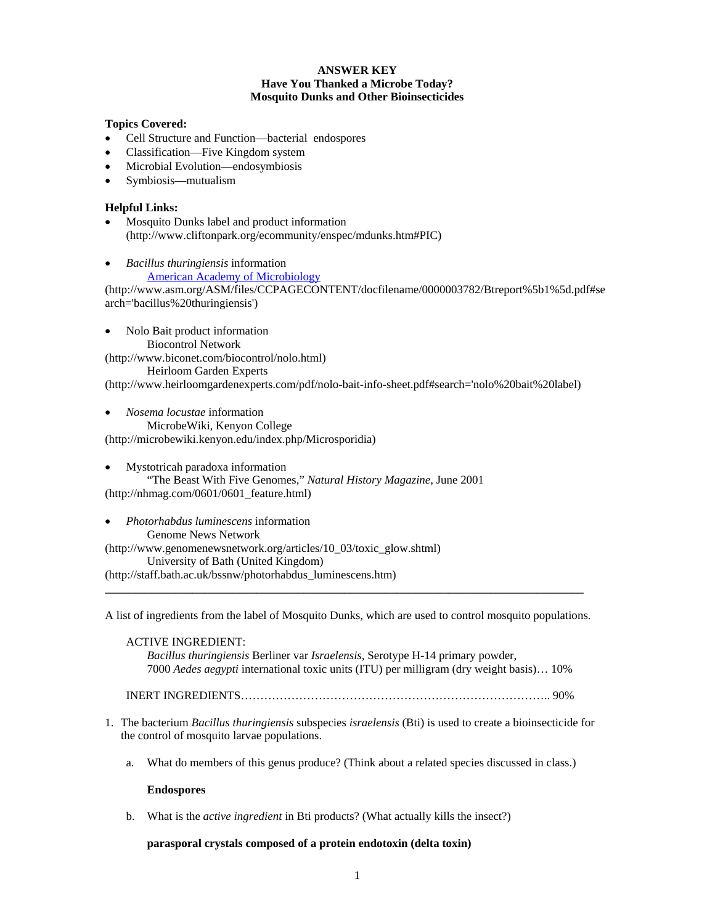#### **ANSWER KEY Have You Thanked a Microbe Today? Mosquito Dunks and Other Bioinsecticides**

## **Topics Covered:**

- Cell Structure and Function—bacterial endospores
- Classification—Five Kingdom system
- Microbial Evolution—endosymbiosis
- Symbiosis—mutualism

# **Helpful Links:**

- Mosquito Dunks label and product information (http://www.cliftonpark.org/ecommunity/enspec/mdunks.htm#PIC)
- *Bacillus thuringiensis* information

**American Academy of Microbiology** 

(http://www.asm.org/ASM/files/CCPAGECONTENT/docfilename/0000003782/Btreport%5b1%5d.pdf#se arch='bacillus%20thuringiensis')

• Nolo Bait product information Biocontrol Network (http://www.biconet.com/biocontrol/nolo.html) Heirloom Garden Experts

(http://www.heirloomgardenexperts.com/pdf/nolo-bait-info-sheet.pdf#search='nolo%20bait%20label)

• *Nosema locustae* information MicrobeWiki, Kenyon College (http://microbewiki.kenyon.edu/index.php/Microsporidia)

- Mystotricah paradoxa information "The Beast With Five Genomes," *Natural History Magazine*, June 2001 (http://nhmag.com/0601/0601\_feature.html)
- *Photorhabdus luminescens* information Genome News Network (http://www.genomenewsnetwork.org/articles/10\_03/toxic\_glow.shtml) University of Bath (United Kingdom) (http://staff.bath.ac.uk/bssnw/photorhabdus\_luminescens.htm)

A list of ingredients from the label of Mosquito Dunks, which are used to control mosquito populations.

**\_\_\_\_\_\_\_\_\_\_\_\_\_\_\_\_\_\_\_\_\_\_\_\_\_\_\_\_\_\_\_\_\_\_\_\_\_\_\_\_\_\_\_\_\_\_\_\_\_\_\_\_\_\_\_\_\_\_\_\_\_\_\_\_\_\_\_\_\_\_\_\_\_\_\_\_\_\_\_\_\_\_** 

ACTIVE INGREDIENT: *Bacillus thuringiensis* Berliner var *Israelensis*, Serotype H-14 primary powder, 7000 *Aedes aegypti* international toxic units (ITU) per milligram (dry weight basis)… 10%

INERT INGREDIENTS…………………………………………………………………….. 90%

- 1. The bacterium *Bacillus thuringiensis* subspecies *israelensis* (Bti) is used to create a bioinsecticide for the control of mosquito larvae populations.
	- a. What do members of this genus produce? (Think about a related species discussed in class.)

## **Endospores**

b. What is the *active ingredient* in Bti products? (What actually kills the insect?)

## **parasporal crystals composed of a protein endotoxin (delta toxin)**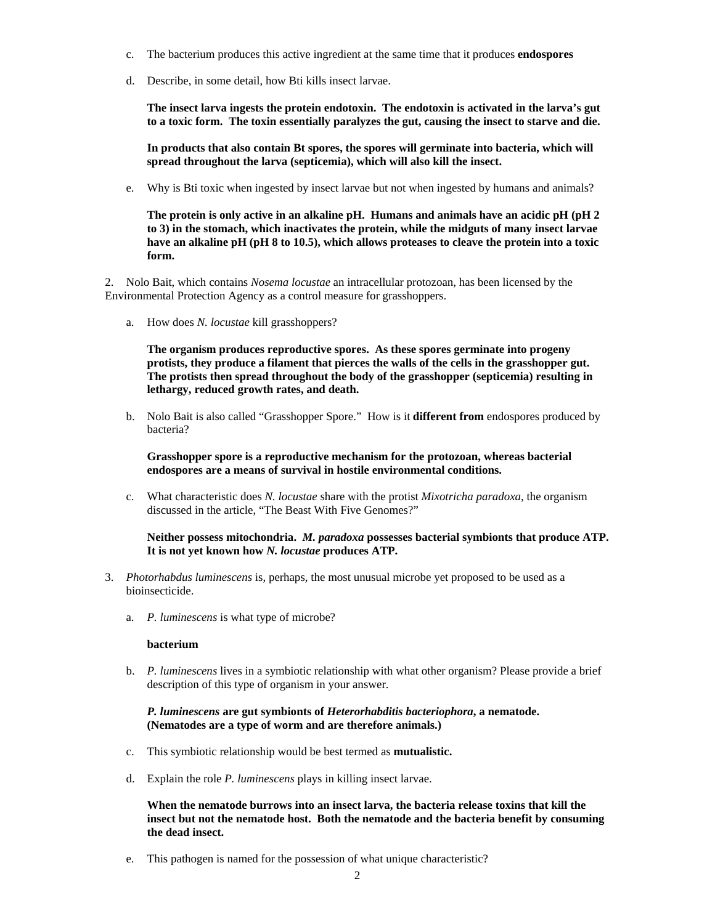- c. The bacterium produces this active ingredient at the same time that it produces **endospores**
- d. Describe, in some detail, how Bti kills insect larvae.

**The insect larva ingests the protein endotoxin. The endotoxin is activated in the larva's gut to a toxic form. The toxin essentially paralyzes the gut, causing the insect to starve and die.** 

**In products that also contain Bt spores, the spores will germinate into bacteria, which will spread throughout the larva (septicemia), which will also kill the insect.**

e. Why is Bti toxic when ingested by insect larvae but not when ingested by humans and animals?

**The protein is only active in an alkaline pH. Humans and animals have an acidic pH (pH 2 to 3) in the stomach, which inactivates the protein, while the midguts of many insect larvae have an alkaline pH (pH 8 to 10.5), which allows proteases to cleave the protein into a toxic form.**

2. Nolo Bait, which contains *Nosema locustae* an intracellular protozoan, has been licensed by the Environmental Protection Agency as a control measure for grasshoppers.

a. How does *N. locustae* kill grasshoppers?

**The organism produces reproductive spores. As these spores germinate into progeny protists, they produce a filament that pierces the walls of the cells in the grasshopper gut. The protists then spread throughout the body of the grasshopper (septicemia) resulting in lethargy, reduced growth rates, and death.** 

b. Nolo Bait is also called "Grasshopper Spore." How is it **different from** endospores produced by bacteria?

**Grasshopper spore is a reproductive mechanism for the protozoan, whereas bacterial endospores are a means of survival in hostile environmental conditions.** 

c. What characteristic does *N. locustae* share with the protist *Mixotricha paradoxa*, the organism discussed in the article, "The Beast With Five Genomes?"

**Neither possess mitochondria.** *M. paradoxa* **possesses bacterial symbionts that produce ATP. It is not yet known how** *N. locustae* **produces ATP.** 

- 3. *Photorhabdus luminescens* is, perhaps, the most unusual microbe yet proposed to be used as a bioinsecticide.
	- a. *P. luminescens* is what type of microbe?

#### **bacterium**

b. *P. luminescens* lives in a symbiotic relationship with what other organism? Please provide a brief description of this type of organism in your answer.

*P. luminescens* **are gut symbionts of** *Heterorhabditis bacteriophora***, a nematode. (Nematodes are a type of worm and are therefore animals.)**

- c. This symbiotic relationship would be best termed as **mutualistic.**
- d. Explain the role *P. luminescens* plays in killing insect larvae.

**When the nematode burrows into an insect larva, the bacteria release toxins that kill the insect but not the nematode host. Both the nematode and the bacteria benefit by consuming the dead insect.** 

e. This pathogen is named for the possession of what unique characteristic?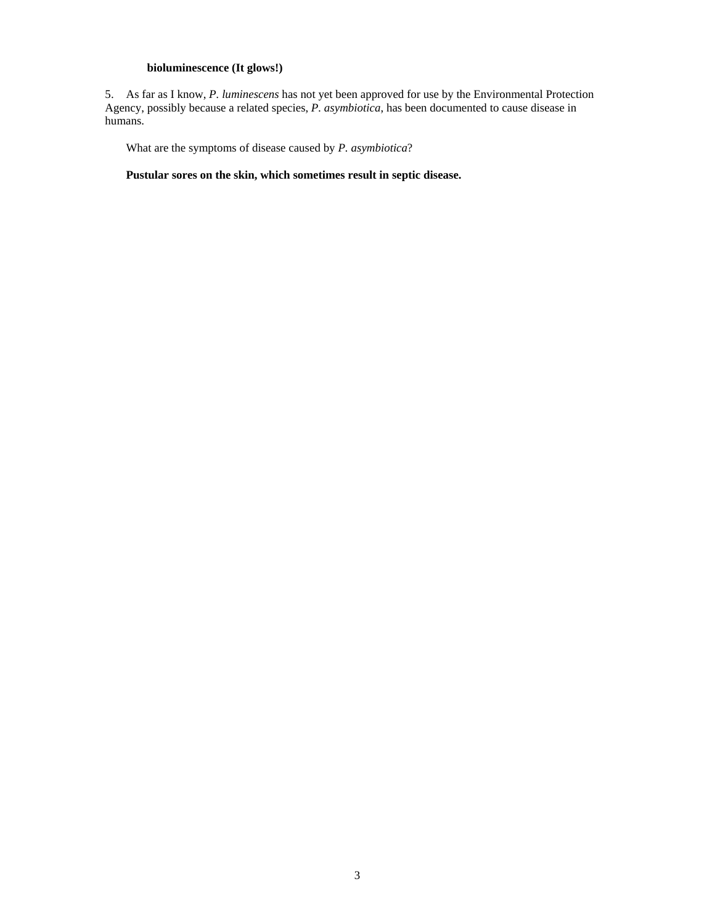# **bioluminescence (It glows!)**

5. As far as I know, *P. luminescens* has not yet been approved for use by the Environmental Protection Agency, possibly because a related species, *P. asymbiotica*, has been documented to cause disease in humans.

What are the symptoms of disease caused by *P. asymbiotica*?

**Pustular sores on the skin, which sometimes result in septic disease.**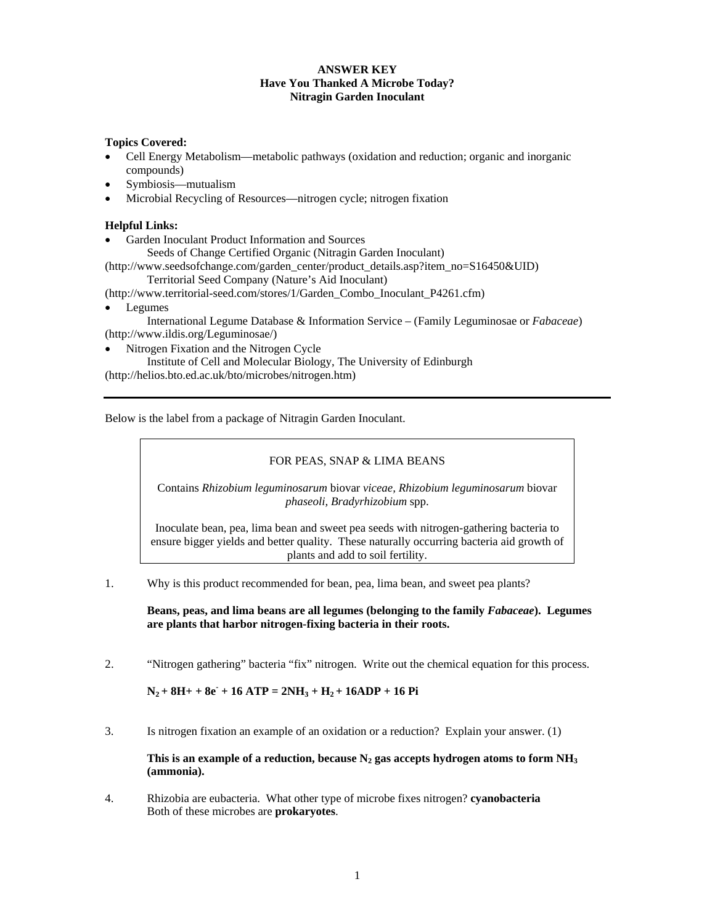## **ANSWER KEY Have You Thanked A Microbe Today? Nitragin Garden Inoculant**

## **Topics Covered:**

- Cell Energy Metabolism—metabolic pathways (oxidation and reduction; organic and inorganic compounds)
- Symbiosis—mutualism
- Microbial Recycling of Resources—nitrogen cycle; nitrogen fixation

# **Helpful Links:**

- Garden Inoculant Product Information and Sources
	- Seeds of Change Certified Organic (Nitragin Garden Inoculant)

(http://www.seedsofchange.com/garden\_center/product\_details.asp?item\_no=S16450&UID) Territorial Seed Company (Nature's Aid Inoculant)

(http://www.territorial-seed.com/stores/1/Garden\_Combo\_Inoculant\_P4261.cfm)

• Legumes

 International Legume Database & Information Service – (Family Leguminosae or *Fabaceae*) (http://www.ildis.org/Leguminosae/)

• Nitrogen Fixation and the Nitrogen Cycle

 Institute of Cell and Molecular Biology, The University of Edinburgh (http://helios.bto.ed.ac.uk/bto/microbes/nitrogen.htm)

Below is the label from a package of Nitragin Garden Inoculant.

## FOR PEAS, SNAP & LIMA BEANS

Contains *Rhizobium leguminosarum* biovar *viceae, Rhizobium leguminosarum* biovar *phaseoli, Bradyrhizobium* spp.

Inoculate bean, pea, lima bean and sweet pea seeds with nitrogen-gathering bacteria to ensure bigger yields and better quality. These naturally occurring bacteria aid growth of plants and add to soil fertility.

1. Why is this product recommended for bean, pea, lima bean, and sweet pea plants?

**Beans, peas, and lima beans are all legumes (belonging to the family** *Fabaceae***). Legumes are plants that harbor nitrogen-fixing bacteria in their roots.** 

2. "Nitrogen gathering" bacteria "fix" nitrogen. Write out the chemical equation for this process.

 $N_2 + 8H + 8e + 16$  ATP =  $2NH_3 + H_2 + 16$ ADP + 16 Pi

3. Is nitrogen fixation an example of an oxidation or a reduction? Explain your answer. (1)

This is an example of a reduction, because  $N_2$  gas accepts hydrogen atoms to form  $NH<sub>3</sub>$ **(ammonia).** 

4. Rhizobia are eubacteria. What other type of microbe fixes nitrogen? **cyanobacteria**  Both of these microbes are **prokaryotes**.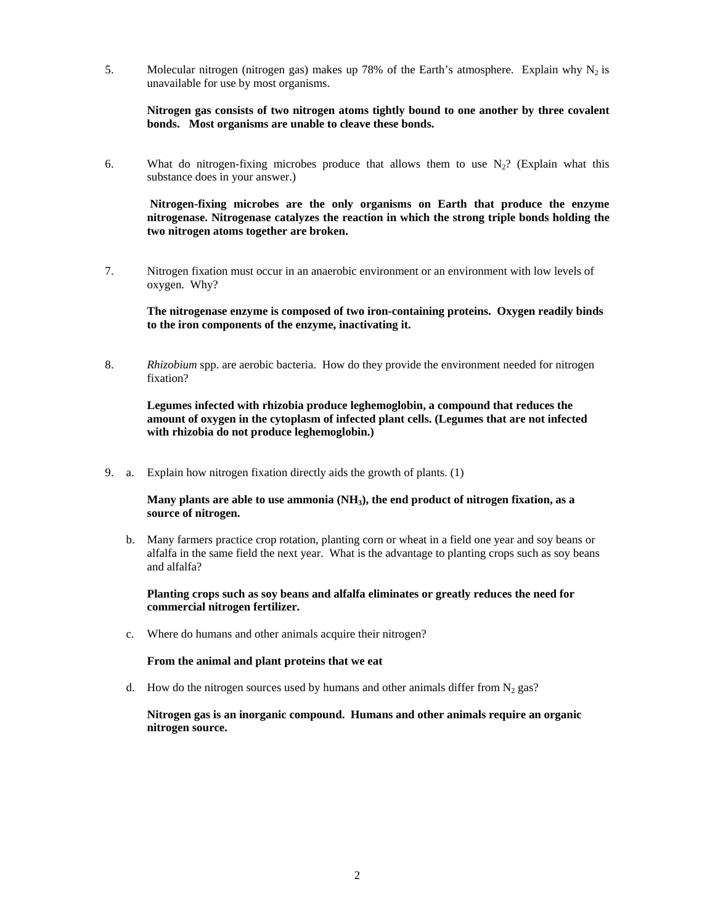5. Molecular nitrogen (nitrogen gas) makes up 78% of the Earth's atmosphere. Explain why  $N_2$  is unavailable for use by most organisms.

**Nitrogen gas consists of two nitrogen atoms tightly bound to one another by three covalent bonds. Most organisms are unable to cleave these bonds.** 

6. What do nitrogen-fixing microbes produce that allows them to use  $N_2$ ? (Explain what this substance does in your answer.)

 **Nitrogen-fixing microbes are the only organisms on Earth that produce the enzyme nitrogenase. Nitrogenase catalyzes the reaction in which the strong triple bonds holding the two nitrogen atoms together are broken.** 

7. Nitrogen fixation must occur in an anaerobic environment or an environment with low levels of oxygen. Why?

**The nitrogenase enzyme is composed of two iron-containing proteins. Oxygen readily binds to the iron components of the enzyme, inactivating it.** 

8. *Rhizobium* spp. are aerobic bacteria. How do they provide the environment needed for nitrogen fixation?

**Legumes infected with rhizobia produce leghemoglobin, a compound that reduces the amount of oxygen in the cytoplasm of infected plant cells. (Legumes that are not infected with rhizobia do not produce leghemoglobin.)** 

9. a. Explain how nitrogen fixation directly aids the growth of plants. (1)

**Many plants are able to use ammonia (NH3), the end product of nitrogen fixation, as a source of nitrogen.** 

 b. Many farmers practice crop rotation, planting corn or wheat in a field one year and soy beans or alfalfa in the same field the next year. What is the advantage to planting crops such as soy beans and alfalfa?

**Planting crops such as soy beans and alfalfa eliminates or greatly reduces the need for commercial nitrogen fertilizer.** 

c. Where do humans and other animals acquire their nitrogen?

#### **From the animal and plant proteins that we eat**

d. How do the nitrogen sources used by humans and other animals differ from  $N_2$  gas?

**Nitrogen gas is an inorganic compound. Humans and other animals require an organic nitrogen source.**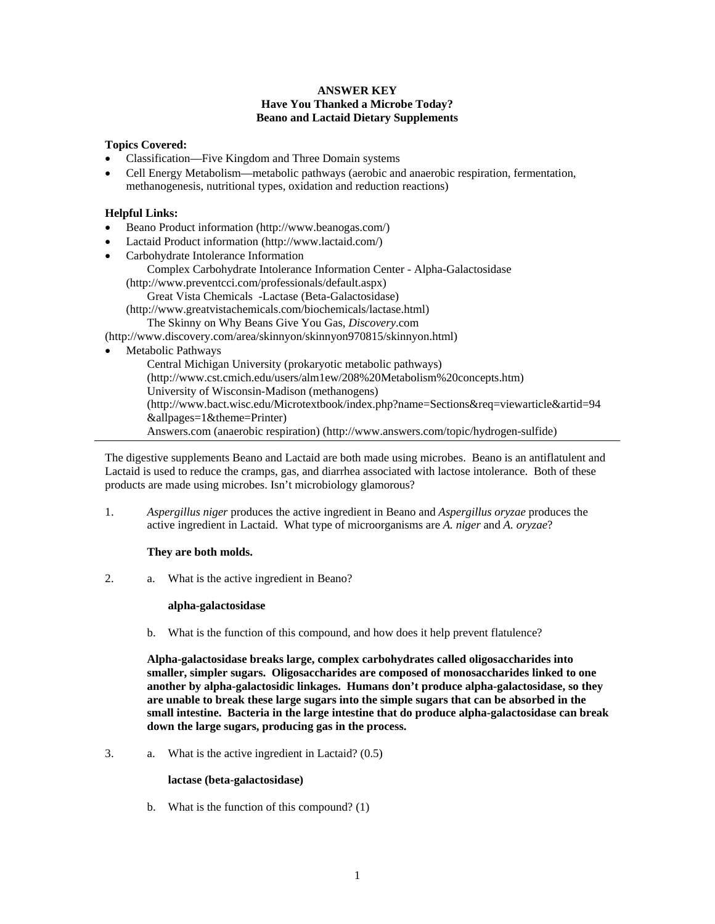#### **ANSWER KEY Have You Thanked a Microbe Today? Beano and Lactaid Dietary Supplements**

#### **Topics Covered:**

- Classification—Five Kingdom and Three Domain systems
- Cell Energy Metabolism—metabolic pathways (aerobic and anaerobic respiration, fermentation, methanogenesis, nutritional types, oxidation and reduction reactions)

#### **Helpful Links:**

- Beano Product information (http://www.beanogas.com/)
- Lactaid Product information (http://www.lactaid.com/)
- Carbohydrate Intolerance Information Complex Carbohydrate Intolerance Information Center - Alpha-Galactosidase (http://www.preventcci.com/professionals/default.aspx) Great Vista Chemicals -Lactase (Beta-Galactosidase) (http://www.greatvistachemicals.com/biochemicals/lactase.html)

The Skinny on Why Beans Give You Gas, *Discovery*.com

(http://www.discovery.com/area/skinnyon/skinnyon970815/skinnyon.html)

Metabolic Pathways

Central Michigan University (prokaryotic metabolic pathways) (http://www.cst.cmich.edu/users/alm1ew/208%20Metabolism%20concepts.htm) University of Wisconsin-Madison (methanogens) (http://www.bact.wisc.edu/Microtextbook/index.php?name=Sections&req=viewarticle&artid=94 &allpages=1&theme=Printer) Answers.com (anaerobic respiration) (http://www.answers.com/topic/hydrogen-sulfide)

The digestive supplements Beano and Lactaid are both made using microbes. Beano is an antiflatulent and Lactaid is used to reduce the cramps, gas, and diarrhea associated with lactose intolerance. Both of these products are made using microbes. Isn't microbiology glamorous?

1. *Aspergillus niger* produces the active ingredient in Beano and *Aspergillus oryzae* produces the active ingredient in Lactaid. What type of microorganisms are *A. niger* and *A. oryzae*?

## **They are both molds.**

2. a. What is the active ingredient in Beano?

#### **alpha-galactosidase**

b. What is the function of this compound, and how does it help prevent flatulence?

 **Alpha-galactosidase breaks large, complex carbohydrates called oligosaccharides into smaller, simpler sugars. Oligosaccharides are composed of monosaccharides linked to one another by alpha-galactosidic linkages. Humans don't produce alpha-galactosidase, so they are unable to break these large sugars into the simple sugars that can be absorbed in the small intestine. Bacteria in the large intestine that do produce alpha-galactosidase can break down the large sugars, producing gas in the process.** 

3. a. What is the active ingredient in Lactaid?  $(0.5)$ 

#### **lactase (beta-galactosidase)**

b. What is the function of this compound? (1)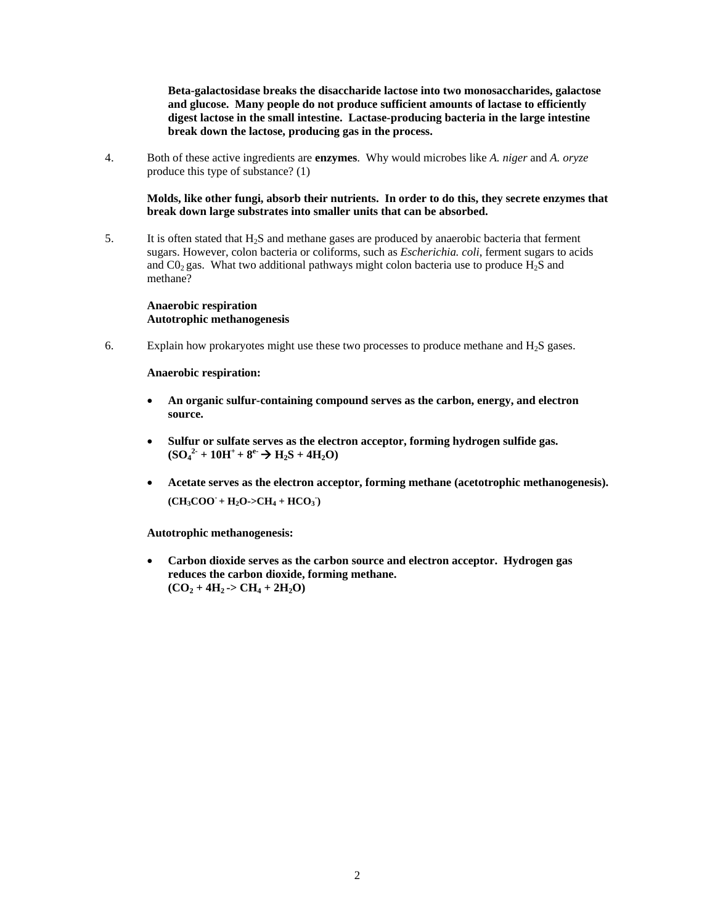**Beta-galactosidase breaks the disaccharide lactose into two monosaccharides, galactose and glucose. Many people do not produce sufficient amounts of lactase to efficiently digest lactose in the small intestine. Lactase-producing bacteria in the large intestine break down the lactose, producing gas in the process.** 

4. Both of these active ingredients are **enzymes**. Why would microbes like *A. niger* and *A. oryze* produce this type of substance? (1)

 **Molds, like other fungi, absorb their nutrients. In order to do this, they secrete enzymes that break down large substrates into smaller units that can be absorbed.** 

5. It is often stated that H2S and methane gases are produced by anaerobic bacteria that ferment sugars. However, colon bacteria or coliforms, such as *Escherichia. coli*, ferment sugars to acids and  $CO<sub>2</sub>$  gas. What two additional pathways might colon bacteria use to produce  $H<sub>2</sub>S$  and methane?

 **Anaerobic respiration Autotrophic methanogenesis** 

6. Explain how prokaryotes might use these two processes to produce methane and  $H_2S$  gases.

 **Anaerobic respiration:** 

- **An organic sulfur-containing compound serves as the carbon, energy, and electron source.**
- **Sulfur or sulfate serves as the electron acceptor, forming hydrogen sulfide gas.**   $(SO_4^2 + 10H^+ + 8^e \rightarrow H_2S + 4H_2O)$
- **Acetate serves as the electron acceptor, forming methane (acetotrophic methanogenesis).**   $(CH_3COO + H_2O > CH_4 + HCO_3)$

 **Autotrophic methanogenesis:** 

• **Carbon dioxide serves as the carbon source and electron acceptor. Hydrogen gas reduces the carbon dioxide, forming methane.**   $(CO_2 + 4H_2 \rightarrow CH_4 + 2H_2O)$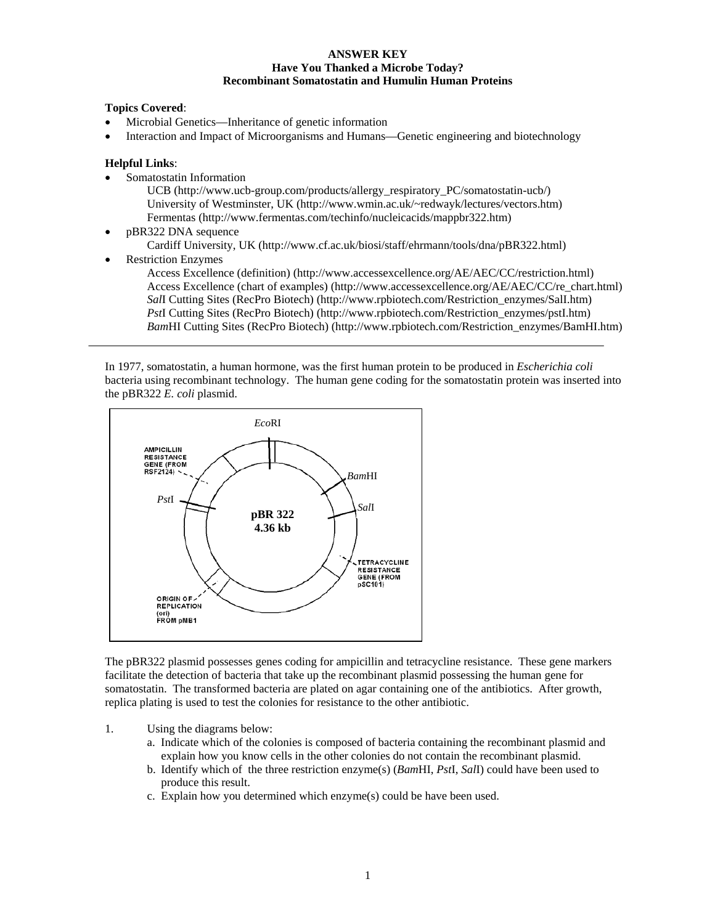#### **ANSWER KEY Have You Thanked a Microbe Today? Recombinant Somatostatin and Humulin Human Proteins**

#### **Topics Covered**:

- Microbial Genetics—Inheritance of genetic information
- Interaction and Impact of Microorganisms and Humans—Genetic engineering and biotechnology

#### **Helpful Links**:

- Somatostatin Information
	- UCB (http://www.ucb-group.com/products/allergy\_respiratory\_PC/somatostatin-ucb/) University of Westminster, UK (http://www.wmin.ac.uk/~redwayk/lectures/vectors.htm) Fermentas (http://www.fermentas.com/techinfo/nucleicacids/mappbr322.htm)
- pBR322 DNA sequence Cardiff University, UK (http://www.cf.ac.uk/biosi/staff/ehrmann/tools/dna/pBR322.html)
- Restriction Enzymes Access Excellence (definition) (http://www.accessexcellence.org/AE/AEC/CC/restriction.html) Access Excellence (chart of examples) (http://www.accessexcellence.org/AE/AEC/CC/re\_chart.html) *Sal*I Cutting Sites (RecPro Biotech) (http://www.rpbiotech.com/Restriction\_enzymes/SalI.htm) *Pst*I Cutting Sites (RecPro Biotech) (http://www.rpbiotech.com/Restriction\_enzymes/pstI.htm) *Bam*HI Cutting Sites (RecPro Biotech) (http://www.rpbiotech.com/Restriction\_enzymes/BamHI.htm)

In 1977, somatostatin, a human hormone, was the first human protein to be produced in *Escherichia coli* bacteria using recombinant technology. The human gene coding for the somatostatin protein was inserted into the pBR322 *E. coli* plasmid.



The pBR322 plasmid possesses genes coding for ampicillin and tetracycline resistance. These gene markers facilitate the detection of bacteria that take up the recombinant plasmid possessing the human gene for somatostatin. The transformed bacteria are plated on agar containing one of the antibiotics. After growth, replica plating is used to test the colonies for resistance to the other antibiotic.

- 1. Using the diagrams below:
	- a. Indicate which of the colonies is composed of bacteria containing the recombinant plasmid and explain how you know cells in the other colonies do not contain the recombinant plasmid.
	- b. Identify which of the three restriction enzyme(s) (*Bam*HI, *Pst*I, *Sal*I) could have been used to produce this result.
	- c. Explain how you determined which enzyme(s) could be have been used.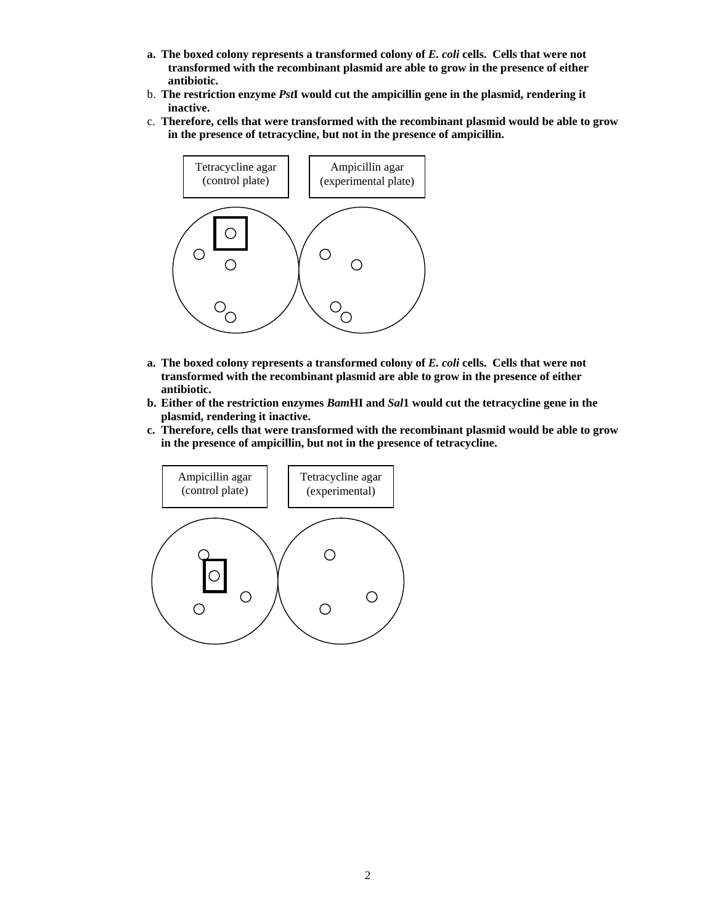- **a. The boxed colony represents a transformed colony of** *E. coli* **cells. Cells that were not transformed with the recombinant plasmid are able to grow in the presence of either antibiotic.**
- b. **The restriction enzyme** *Pst***I would cut the ampicillin gene in the plasmid, rendering it inactive.**
- c. **Therefore, cells that were transformed with the recombinant plasmid would be able to grow in the presence of tetracycline, but not in the presence of ampicillin.**



- **a. The boxed colony represents a transformed colony of** *E. coli* **cells. Cells that were not transformed with the recombinant plasmid are able to grow in the presence of either antibiotic.**
- **b. Either of the restriction enzymes** *Bam***HI and** *Sal***1 would cut the tetracycline gene in the plasmid, rendering it inactive.**
- **c. Therefore, cells that were transformed with the recombinant plasmid would be able to grow in the presence of ampicillin, but not in the presence of tetracycline.**

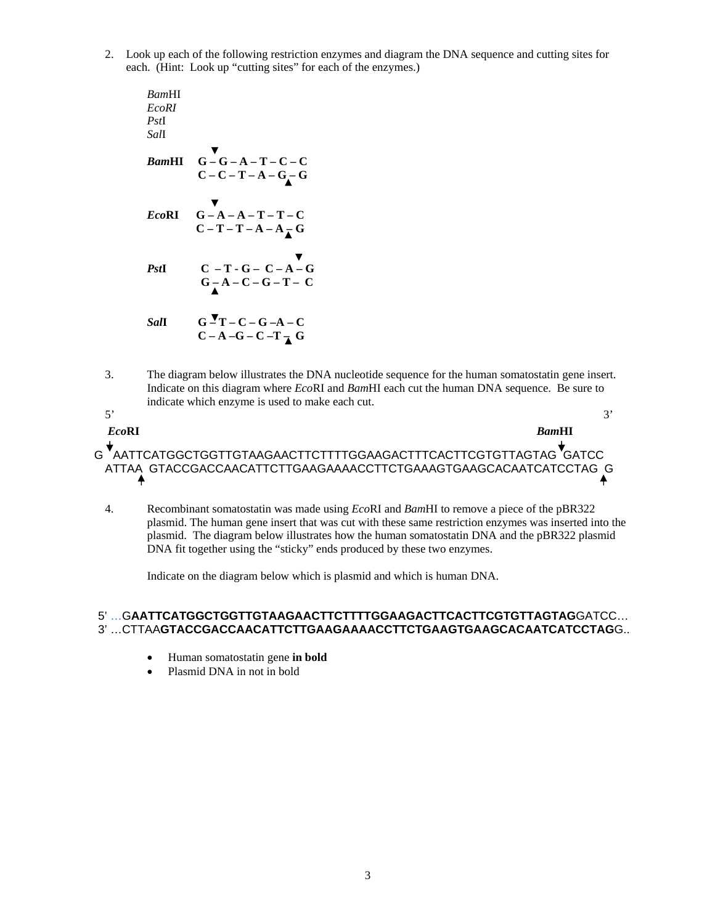2. Look up each of the following restriction enzymes and diagram the DNA sequence and cutting sites for each. (Hint: Look up "cutting sites" for each of the enzymes.)

*Bam*HI *EcoRI Pst*I *Sal*I *Bam***HI G – G – A – T – C – C**   $C - C - T - A - G$ *Eco***RI G – A – A – T – T – C**   $C-T-T-A-A_{\overline{A}}G$ *Pst***I C** – **T** − **G** – **C** – **A** – **G**  $G - A - C - G - T - C$  $SaI$  G – T – C – G – A – C  $C - A - G - C - T - G$ 

3. The diagram below illustrates the DNA nucleotide sequence for the human somatostatin gene insert. Indicate on this diagram where *Eco*RI and *Bam*HI each cut the human DNA sequence. Be sure to indicate which enzyme is used to make each cut.

| <i>EcoRI</i> | <b>RamHI</b>                                                                                                                         |
|--------------|--------------------------------------------------------------------------------------------------------------------------------------|
|              | G AATTCATGGCTGGTTGTAAGAACTTCTTTTGGAAGACTTTCACTTCGTGTTAGTAG GATCC<br>ATTAA GTACCGACCAACATTCTTGAAGAAAACCTTCTGAAAGTGAAGCACAATCATCCTAG G |

4. Recombinant somatostatin was made using *Eco*RI and *Bam*HI to remove a piece of the pBR322 plasmid. The human gene insert that was cut with these same restriction enzymes was inserted into the plasmid. The diagram below illustrates how the human somatostatin DNA and the pBR322 plasmid DNA fit together using the "sticky" ends produced by these two enzymes.

Indicate on the diagram below which is plasmid and which is human DNA.

## 5' …G**AATTCATGGCTGGTTGTAAGAACTTCTTTTGGAAGACTTCACTTCGTGTTAGTAG**GATCC… 3' …CTTAA**GTACCGACCAACATTCTTGAAGAAAACCTTCTGAAGTGAAGCACAATCATCCTAG**G..

- Human somatostatin gene **in bold**
- Plasmid DNA in not in bold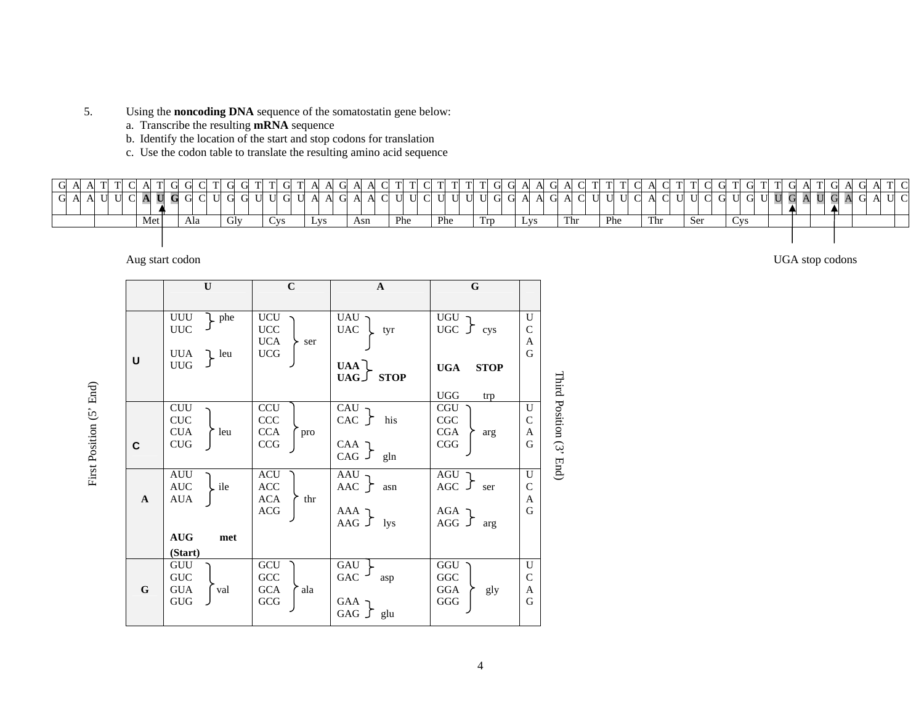- 5. Using the **noncoding DNA** sequence of the somatostatin gene below:
	- a. Transcribe the resulting **mRNA** sequence
	- b. Identify the location of the start and stop codons for translation
	- c. Use the codon table to translate the resulting amino acid sequence

|   |  |        |           | C A T       |   | G | C           |   | G |     |   |     | G T |                  | $\Delta$<br>A            |   | A A C |     |       | $T$ $C$ |     |   | TI TI G |     |   | G |              | A G |   | a CL        | T T         |    | $\cap$ $\wedge$ |     |     |     |             | G T G |            | T T     |         | G A |   |        |     | A G | A T C |  |
|---|--|--------|-----------|-------------|---|---|-------------|---|---|-----|---|-----|-----|------------------|--------------------------|---|-------|-----|-------|---------|-----|---|---------|-----|---|---|--------------|-----|---|-------------|-------------|----|-----------------|-----|-----|-----|-------------|-------|------------|---------|---------|-----|---|--------|-----|-----|-------|--|
| G |  | $\cap$ | ${\bf A}$ | $\mathbf U$ | G | G | $\mathbf C$ | ◡ |   |     | U |     | G U | <b><i>II</i></b> | $\mathbf{A}$<br>$\Delta$ | G | A A C |     | U U C |         | U   | U | U U     |     | G | G | $\mathbf{A}$ | A G | A | $\mathbf C$ | $\mathbf U$ | тт | C A             |     | C U | ◡   | $\mathbf C$ |       | U G        | $U$ $U$ | G<br>⊐∎ |     | U | G<br>ᅿ | A G |     | A U C |  |
|   |  |        |           | Met         |   |   | Ala         |   |   | Glv |   | Cvs |     |                  | LVS.                     |   | Asn   | Phe |       |         | Phe |   |         | Trp |   |   | Lys          |     |   | Thr         | Phe         |    |                 | Thr |     | Ser |             |       | <b>Cys</b> |         |         |     |   |        |     |     |       |  |
|   |  |        |           |             |   |   |             |   |   |     |   |     |     |                  |                          |   |       |     |       |         |     |   |         |     |   |   |              |     |   |             |             |    |                 |     |     |     |             |       |            |         |         |     |   |        |     |     |       |  |

Aug start codon UGA stop codons

First Position (5' End)

First Position (5' End)

|              | $\mathbf U$                                                                                        | $\mathbf C$                                     | $\mathbf{A}$                                       | $\mathbf G$                                                             |                              |                         |
|--------------|----------------------------------------------------------------------------------------------------|-------------------------------------------------|----------------------------------------------------|-------------------------------------------------------------------------|------------------------------|-------------------------|
| U            | UUU<br>$\downarrow$ phe<br><b>UUC</b><br>UUA<br>$\mathcal{L}$ leu<br><b>UUG</b>                    | $UCU$<br>UCC<br><b>UCA</b><br>ser<br><b>UCG</b> | UAU<br><b>UAC</b><br>tyr<br>UAA<br>$UAG \cup STOP$ | UGU<br>UGC $\int$ cys<br><b>UGA</b><br><b>STOP</b><br><b>UGG</b><br>trp | U<br>$\mathcal{C}$<br>A<br>G |                         |
| C            | <b>CUU</b><br>CUC<br><b>CUA</b><br>leu<br><b>CUG</b>                                               | CCU<br>CCC<br><b>CCA</b><br>pro<br>CCG          | CAU<br>CAC<br>his<br>CAA ך<br>CAG $J$ gln          | <b>CGU</b><br>CGC<br><b>CGA</b><br>arg<br>CGG                           | U<br>$\mathsf{C}$<br>A<br>G  | Third Position (3' End) |
| $\mathbf{A}$ | <b>AUU</b><br>$\operatorname{AUC}$<br>ile<br><b>AUA</b><br>$\mathbf{A}\mathbf{U}\mathbf{G}$<br>met | ACU<br>ACC<br>ACA<br>thr<br><b>ACG</b>          | AAU<br>AAC $\int$ asn<br>ך AAA<br>AAG $\int$ lys   | AGU<br>AGC $\int$ ser<br>ר AGA<br>AGG $\sqrt{ }$<br>arg                 | U<br>$\mathcal{C}$<br>A<br>G |                         |
| $\mathbf G$  | (Start)<br>GUU<br><b>GUC</b><br><b>GUA</b><br>val<br><b>GUG</b>                                    | GCU<br>GCC<br><b>GCA</b><br>ala<br>GCG          | GAU<br>GAC<br>asp<br>GAA<br>GAG $\int$ glu         | GGU<br>GGC<br>GGA<br>gly<br>GGG                                         | U<br>$\mathcal{C}$<br>A<br>G |                         |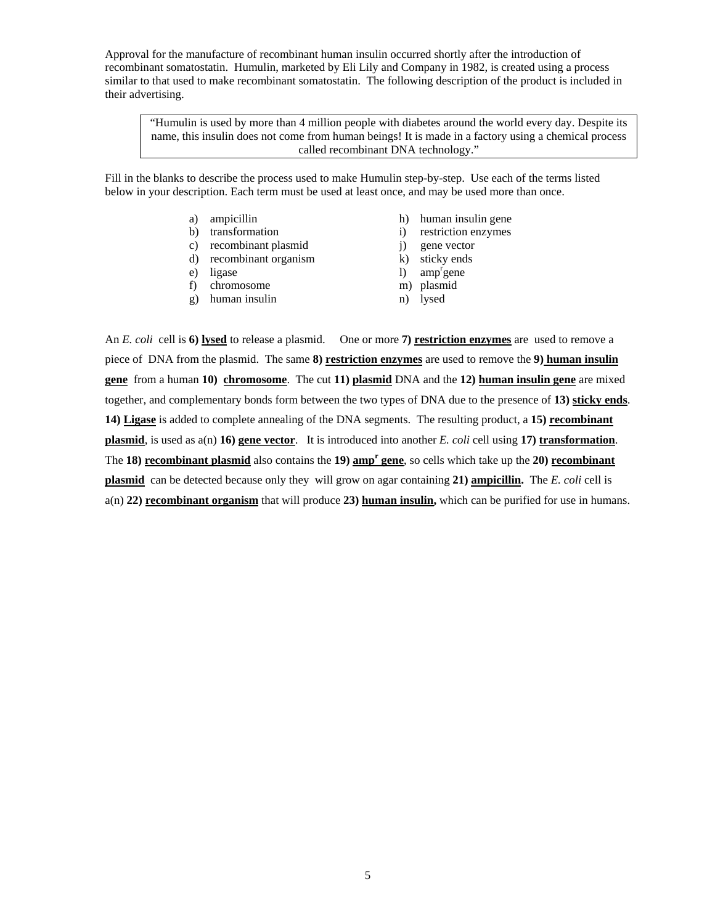Approval for the manufacture of recombinant human insulin occurred shortly after the introduction of recombinant somatostatin. Humulin, marketed by Eli Lily and Company in 1982, is created using a process similar to that used to make recombinant somatostatin. The following description of the product is included in their advertising.

"Humulin is used by more than 4 million people with diabetes around the world every day. Despite its name, this insulin does not come from human beings! It is made in a factory using a chemical process called recombinant DNA technology."

Fill in the blanks to describe the process used to make Humulin step-by-step. Use each of the terms listed below in your description. Each term must be used at least once, and may be used more than once.

- 
- 
- c) recombinant plasmid i) gene vector
- d) recombinant organism k) sticky ends
- e) ligase l)
- f) chromosome m) plasmid
- g) human insulin n) lysed
- a) ampicillin h) human insulin gene
- b) transformation i) restriction enzymes
	-
	-
	- amp<sup>r</sup>gene
	-
	-

An *E. coli* cell is **6) lysed** to release a plasmid. One or more **7) restriction enzymes** are used to remove a piece of DNA from the plasmid. The same **8) restriction enzymes** are used to remove the **9) human insulin gene** from a human **10) chromosome**. The cut **11) plasmid** DNA and the **12) human insulin gene** are mixed together, and complementary bonds form between the two types of DNA due to the presence of **13) sticky ends**. **14) Ligase** is added to complete annealing of the DNA segments. The resulting product, a **15) recombinant plasmid**, is used as a(n) **16) gene vector**. It is introduced into another *E. coli* cell using **17) transformation**. The 18) **recombinant plasmid** also contains the 19) **amp<sup>r</sup> gene**, so cells which take up the 20) **recombinant plasmid** can be detected because only they will grow on agar containing **21) ampicillin.** The *E. coli* cell is a(n) **22) recombinant organism** that will produce **23) human insulin,** which can be purified for use in humans.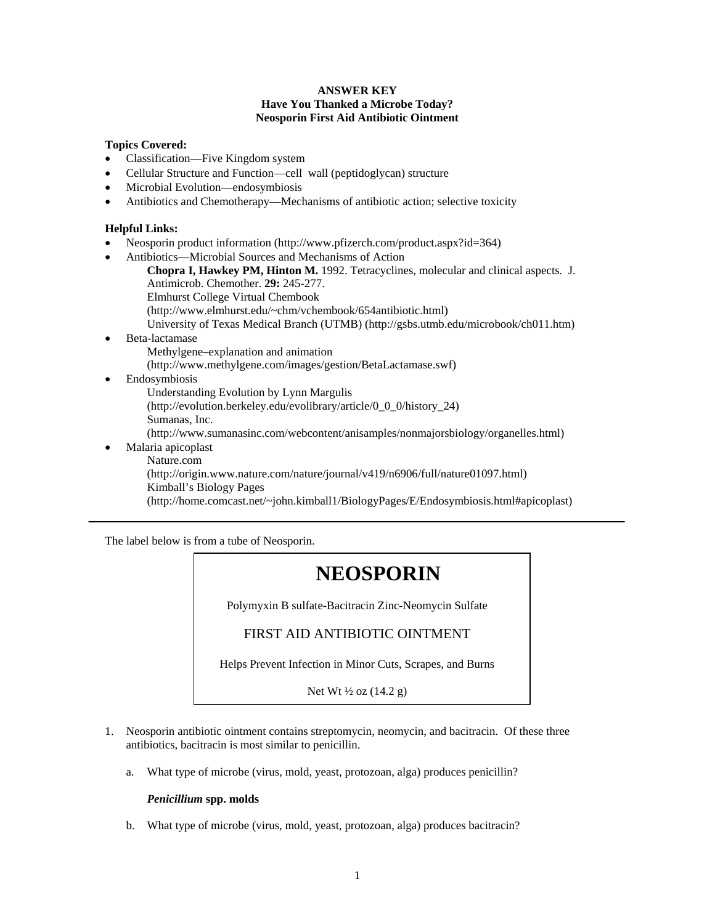#### **ANSWER KEY Have You Thanked a Microbe Today? Neosporin First Aid Antibiotic Ointment**

#### **Topics Covered:**

- Classification—Five Kingdom system
- Cellular Structure and Function—cell wall (peptidoglycan) structure
- Microbial Evolution—endosymbiosis
- Antibiotics and Chemotherapy—Mechanisms of antibiotic action; selective toxicity

#### **Helpful Links:**

- Neosporin product information (http://www.pfizerch.com/product.aspx?id=364)
- Antibiotics—Microbial Sources and Mechanisms of Action
	- **Chopra I, Hawkey PM, Hinton M.** 1992. Tetracyclines, molecular and clinical aspects. J.
	- Antimicrob. Chemother. **29:** 245-277.
	- Elmhurst College Virtual Chembook
	- (http://www.elmhurst.edu/~chm/vchembook/654antibiotic.html)
	- University of Texas Medical Branch (UTMB) (http://gsbs.utmb.edu/microbook/ch011.htm)
- Beta-lactamase
	- Methylgene–explanation and animation
	- (http://www.methylgene.com/images/gestion/BetaLactamase.swf)
- Endosymbiosis
	- Understanding Evolution by Lynn Margulis
	- (http://evolution.berkeley.edu/evolibrary/article/0\_0\_0/history\_24)
	- Sumanas, Inc.
	- (http://www.sumanasinc.com/webcontent/anisamples/nonmajorsbiology/organelles.html)
- Malaria apicoplast

Nature.com

(http://origin.www.nature.com/nature/journal/v419/n6906/full/nature01097.html) Kimball's Biology Pages

(http://home.comcast.net/~john.kimball1/BiologyPages/E/Endosymbiosis.html#apicoplast)

The label below is from a tube of Neosporin.

# **NEOSPORIN**

Polymyxin B sulfate-Bacitracin Zinc-Neomycin Sulfate

# FIRST AID ANTIBIOTIC OINTMENT

Helps Prevent Infection in Minor Cuts, Scrapes, and Burns

Net Wt ½ oz (14.2 g)

- 1. Neosporin antibiotic ointment contains streptomycin, neomycin, and bacitracin. Of these three antibiotics, bacitracin is most similar to penicillin.
	- a. What type of microbe (virus, mold, yeast, protozoan, alga) produces penicillin?

#### *Penicillium* **spp. molds**

b. What type of microbe (virus, mold, yeast, protozoan, alga) produces bacitracin?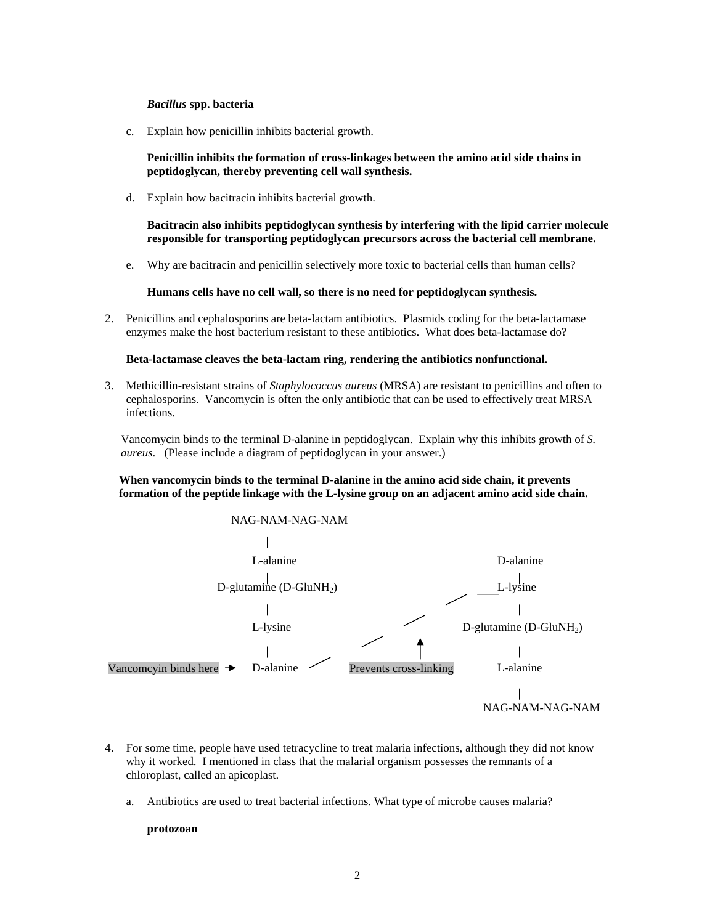#### *Bacillus* **spp. bacteria**

c. Explain how penicillin inhibits bacterial growth.

**Penicillin inhibits the formation of cross-linkages between the amino acid side chains in peptidoglycan, thereby preventing cell wall synthesis.** 

d. Explain how bacitracin inhibits bacterial growth.

**Bacitracin also inhibits peptidoglycan synthesis by interfering with the lipid carrier molecule responsible for transporting peptidoglycan precursors across the bacterial cell membrane.** 

e. Why are bacitracin and penicillin selectively more toxic to bacterial cells than human cells?

**Humans cells have no cell wall, so there is no need for peptidoglycan synthesis.**

2. Penicillins and cephalosporins are beta-lactam antibiotics. Plasmids coding for the beta-lactamase enzymes make the host bacterium resistant to these antibiotics. What does beta-lactamase do?

#### **Beta-lactamase cleaves the beta-lactam ring, rendering the antibiotics nonfunctional.**

3. Methicillin-resistant strains of *Staphylococcus aureus* (MRSA) are resistant to penicillins and often to cephalosporins. Vancomycin is often the only antibiotic that can be used to effectively treat MRSA infections.

Vancomycin binds to the terminal D-alanine in peptidoglycan. Explain why this inhibits growth of *S. aureus*. (Please include a diagram of peptidoglycan in your answer.)

**When vancomycin binds to the terminal D-alanine in the amino acid side chain, it prevents formation of the peptide linkage with the L-lysine group on an adjacent amino acid side chain.** 



- 4. For some time, people have used tetracycline to treat malaria infections, although they did not know why it worked. I mentioned in class that the malarial organism possesses the remnants of a chloroplast, called an apicoplast.
	- a. Antibiotics are used to treat bacterial infections. What type of microbe causes malaria?

#### **protozoan**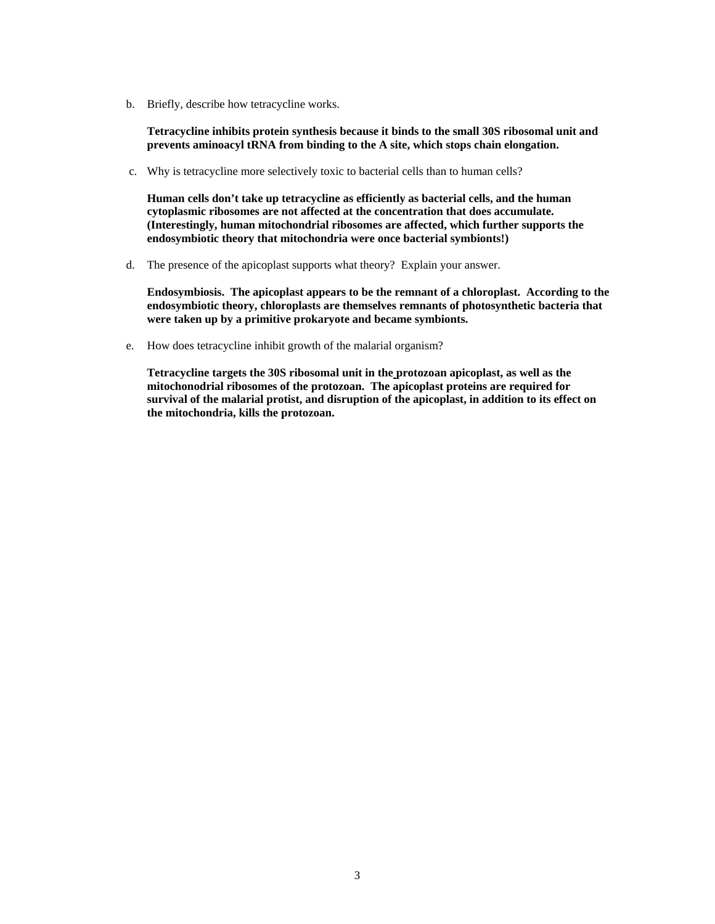b. Briefly, describe how tetracycline works.

**Tetracycline inhibits protein synthesis because it binds to the small 30S ribosomal unit and prevents aminoacyl tRNA from binding to the A site, which stops chain elongation.** 

c. Why is tetracycline more selectively toxic to bacterial cells than to human cells?

**Human cells don't take up tetracycline as efficiently as bacterial cells, and the human cytoplasmic ribosomes are not affected at the concentration that does accumulate. (Interestingly, human mitochondrial ribosomes are affected, which further supports the endosymbiotic theory that mitochondria were once bacterial symbionts!)** 

d. The presence of the apicoplast supports what theory? Explain your answer.

**Endosymbiosis. The apicoplast appears to be the remnant of a chloroplast. According to the endosymbiotic theory, chloroplasts are themselves remnants of photosynthetic bacteria that were taken up by a primitive prokaryote and became symbionts.** 

e. How does tetracycline inhibit growth of the malarial organism?

**Tetracycline targets the 30S ribosomal unit in the protozoan apicoplast, as well as the mitochonodrial ribosomes of the protozoan. The apicoplast proteins are required for survival of the malarial protist, and disruption of the apicoplast, in addition to its effect on the mitochondria, kills the protozoan.**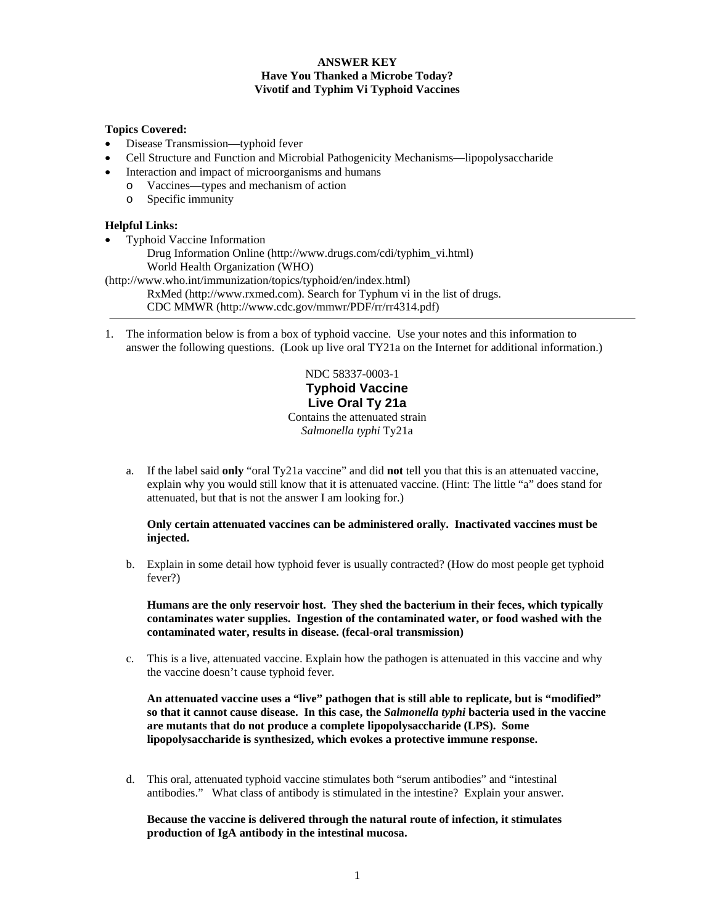## **ANSWER KEY Have You Thanked a Microbe Today? Vivotif and Typhim Vi Typhoid Vaccines**

#### **Topics Covered:**

- Disease Transmission—typhoid fever
- Cell Structure and Function and Microbial Pathogenicity Mechanisms—lipopolysaccharide
- Interaction and impact of microorganisms and humans
- o Vaccines—types and mechanism of action
	- o Specific immunity

#### **Helpful Links:**

• Typhoid Vaccine Information Drug Information Online (http://www.drugs.com/cdi/typhim\_vi.html) World Health Organization (WHO) (http://www.who.int/immunization/topics/typhoid/en/index.html)

RxMed (http://www.rxmed.com). Search for Typhum vi in the list of drugs. CDC MMWR (http://www.cdc.gov/mmwr/PDF/rr/rr4314.pdf)

1. The information below is from a box of typhoid vaccine. Use your notes and this information to answer the following questions. (Look up live oral TY21a on the Internet for additional information.)

> NDC 58337-0003-1 **Typhoid Vaccine Live Oral Ty 21a**  Contains the attenuated strain *Salmonella typhi* Ty21a

a. If the label said **only** "oral Ty21a vaccine" and did **not** tell you that this is an attenuated vaccine, explain why you would still know that it is attenuated vaccine. (Hint: The little "a" does stand for attenuated, but that is not the answer I am looking for.)

#### **Only certain attenuated vaccines can be administered orally. Inactivated vaccines must be injected.**

b. Explain in some detail how typhoid fever is usually contracted? (How do most people get typhoid fever?)

**Humans are the only reservoir host. They shed the bacterium in their feces, which typically contaminates water supplies. Ingestion of the contaminated water, or food washed with the contaminated water, results in disease. (fecal-oral transmission)** 

c. This is a live, attenuated vaccine. Explain how the pathogen is attenuated in this vaccine and why the vaccine doesn't cause typhoid fever.

**An attenuated vaccine uses a "live" pathogen that is still able to replicate, but is "modified" so that it cannot cause disease. In this case, the** *Salmonella typhi* **bacteria used in the vaccine are mutants that do not produce a complete lipopolysaccharide (LPS). Some lipopolysaccharide is synthesized, which evokes a protective immune response.** 

d. This oral, attenuated typhoid vaccine stimulates both "serum antibodies" and "intestinal antibodies." What class of antibody is stimulated in the intestine? Explain your answer.

## **Because the vaccine is delivered through the natural route of infection, it stimulates production of IgA antibody in the intestinal mucosa.**